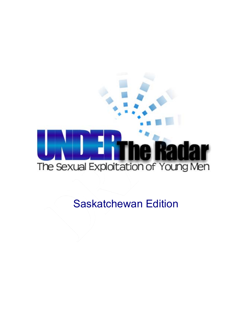

Saskatchewan Edition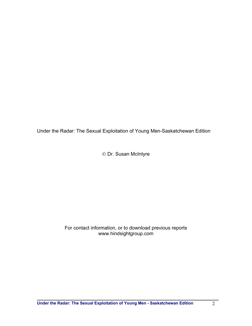Under the Radar: The Sexual Exploitation of Young Men-Saskatchewan Edition

Dr. Susan McIntyre

#### For contact information, or to download previous reports www.hindsightgroup.com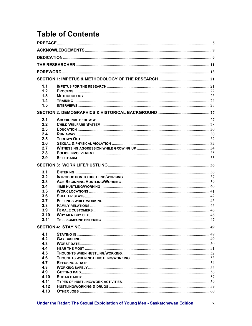# **Table of Contents**

| 1.1          |  |  |  |
|--------------|--|--|--|
| 1.2          |  |  |  |
| 1.3          |  |  |  |
| 1.4          |  |  |  |
| 1.5          |  |  |  |
|              |  |  |  |
| 2.1          |  |  |  |
| 2.2          |  |  |  |
| 2.3          |  |  |  |
| 2.4          |  |  |  |
| 2.5          |  |  |  |
| 2.6          |  |  |  |
| 2.7          |  |  |  |
| 2.8          |  |  |  |
| 2.9          |  |  |  |
|              |  |  |  |
|              |  |  |  |
|              |  |  |  |
| 3.1<br>3.2   |  |  |  |
| 3.3          |  |  |  |
| 3.4          |  |  |  |
| 3.5          |  |  |  |
| 3.6          |  |  |  |
| 3.7          |  |  |  |
| 3.8          |  |  |  |
| 3.9          |  |  |  |
| 3.10         |  |  |  |
| 3.11         |  |  |  |
|              |  |  |  |
| 4.1          |  |  |  |
| 4.2          |  |  |  |
| 4.3          |  |  |  |
| 4.4          |  |  |  |
| 4.5          |  |  |  |
| 4.6          |  |  |  |
| 4.7          |  |  |  |
| 4.8          |  |  |  |
| 4.9          |  |  |  |
| 4.10         |  |  |  |
| 4.11         |  |  |  |
| 4.12<br>4.13 |  |  |  |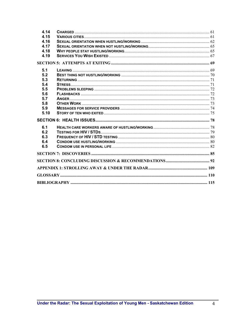| 4.14 |  |  |
|------|--|--|
| 4.15 |  |  |
| 4.16 |  |  |
| 4.17 |  |  |
| 4.18 |  |  |
| 4.19 |  |  |
|      |  |  |
| 5.1  |  |  |
| 5.2  |  |  |
| 5.3  |  |  |
| 5.4  |  |  |
| 5.5  |  |  |
| 5.6  |  |  |
| 5.7  |  |  |
| 5.8  |  |  |
| 5.9  |  |  |
| 5.10 |  |  |
|      |  |  |
| 6.1  |  |  |
| 6.2  |  |  |
| 6.3  |  |  |
| 6.4  |  |  |
| 6.5  |  |  |
|      |  |  |
|      |  |  |
|      |  |  |
|      |  |  |
|      |  |  |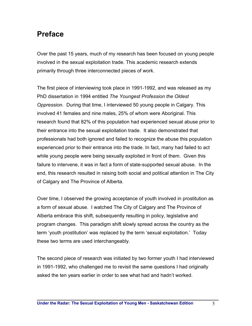### **Preface**

Over the past 15 years, much of my research has been focused on young people involved in the sexual exploitation trade. This academic research extends primarily through three interconnected pieces of work.

The first piece of interviewing took place in 1991-1992, and was released as my PhD dissertation in 1994 entitled *The Youngest Profession the Oldest Oppression*. During that time, I interviewed 50 young people in Calgary. This involved 41 females and nine males, 25% of whom were Aboriginal. This research found that 82% of this population had experienced sexual abuse prior to their entrance into the sexual exploitation trade. It also demonstrated that professionals had both ignored and failed to recognize the abuse this population experienced prior to their entrance into the trade. In fact, many had failed to act while young people were being sexually exploited in front of them. Given this failure to intervene, it was in fact a form of state-supported sexual abuse. In the end, this research resulted in raising both social and political attention in The City of Calgary and The Province of Alberta.

Over time, I observed the growing acceptance of youth involved in prostitution as a form of sexual abuse. I watched The City of Calgary and The Province of Alberta embrace this shift, subsequently resulting in policy, legislative and program changes. This paradigm shift slowly spread across the country as the term 'youth prostitution' was replaced by the term 'sexual exploitation.' Today these two terms are used interchangeably.

The second piece of research was initiated by two former youth I had interviewed in 1991-1992, who challenged me to revisit the same questions I had originally asked the ten years earlier in order to see what had and hadn't worked.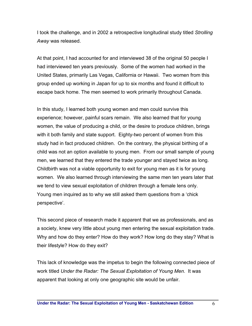I took the challenge, and in 2002 a retrospective longitudinal study titled *Strolling Away* was released.

At that point, I had accounted for and interviewed 38 of the original 50 people I had interviewed ten years previously. Some of the women had worked in the United States, primarily Las Vegas, California or Hawaii. Two women from this group ended up working in Japan for up to six months and found it difficult to escape back home. The men seemed to work primarily throughout Canada.

In this study, I learned both young women and men could survive this experience; however, painful scars remain. We also learned that for young women, the value of producing a child, or the desire to produce children, brings with it both family and state support. Eighty-two percent of women from this study had in fact produced children. On the contrary, the physical birthing of a child was not an option available to young men. From our small sample of young men, we learned that they entered the trade younger and stayed twice as long. Childbirth was not a viable opportunity to exit for young men as it is for young women. We also learned through interviewing the same men ten years later that we tend to view sexual exploitation of children through a female lens only. Young men inquired as to why we still asked them questions from a 'chick perspective'.

This second piece of research made it apparent that we as professionals, and as a society, knew very little about young men entering the sexual exploitation trade. Why and how do they enter? How do they work? How long do they stay? What is their lifestyle? How do they exit?

This lack of knowledge was the impetus to begin the following connected piece of work titled *Under the Radar: The Sexual Exploitation of Young Men*. It was apparent that looking at only one geographic site would be unfair.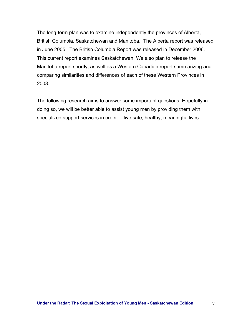The long-term plan was to examine independently the provinces of Alberta, British Columbia, Saskatchewan and Manitoba. The Alberta report was released in June 2005. The British Columbia Report was released in December 2006. This current report examines Saskatchewan. We also plan to release the Manitoba report shortly, as well as a Western Canadian report summarizing and comparing similarities and differences of each of these Western Provinces in 2008.

The following research aims to answer some important questions. Hopefully in doing so, we will be better able to assist young men by providing them with specialized support services in order to live safe, healthy, meaningful lives.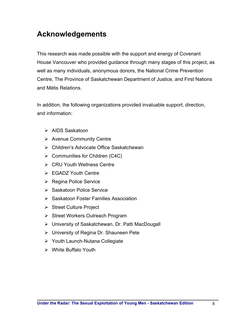# **Acknowledgements**

This research was made possible with the support and energy of Covenant House Vancouver who provided guidance through many stages of this project, as well as many individuals, anonymous donors, the National Crime Prevention Centre, The Province of Saskatchewan Department of Justice, and First Nations and Métis Relations.

In addition, the following organizations provided invaluable support, direction, and information:

- ¾ AIDS Saskatoon
- $\triangleright$  Avenue Community Centre
- ¾ Children's Advocate Office Saskatchewan
- $\triangleright$  Communities for Children (C4C)
- ¾ CRU Youth Wellness Centre
- ¾ EGADZ Youth Centre
- ¾ Regina Police Service
- ¾ Saskatoon Police Service
- ¾ Saskatoon Foster Families Association
- ¾ Street Culture Project
- ¾ Street Workers Outreach Program
- ¾ University of Saskatchewan, Dr. Patti MacDougall
- ¾ University of Regina Dr. Shauneen Pete
- ¾ Youth Launch-Nutana Collegiate
- $\triangleright$  White Buffalo Youth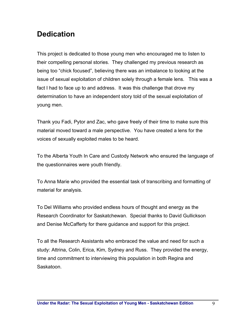# **Dedication**

This project is dedicated to those young men who encouraged me to listen to their compelling personal stories. They challenged my previous research as being too "chick focused", believing there was an imbalance to looking at the issue of sexual exploitation of children solely through a female lens. This was a fact I had to face up to and address. It was this challenge that drove my determination to have an independent story told of the sexual exploitation of young men.

Thank you Fadi, Pytor and Zac, who gave freely of their time to make sure this material moved toward a male perspective. You have created a lens for the voices of sexually exploited males to be heard.

To the Alberta Youth In Care and Custody Network who ensured the language of the questionnaires were youth friendly.

To Anna Marie who provided the essential task of transcribing and formatting of material for analysis.

To Del Williams who provided endless hours of thought and energy as the Research Coordinator for Saskatchewan. Special thanks to David Gullickson and Denise McCafferty for there guidance and support for this project.

To all the Research Assistants who embraced the value and need for such a study: Attrina, Colin, Erica, Kim, Sydney and Russ. They provided the energy, time and commitment to interviewing this population in both Regina and Saskatoon.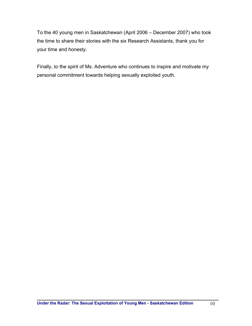To the 40 young men in Saskatchewan (April 2006 – December 2007) who took the time to share their stories with the six Research Assistants, thank you for your time and honesty.

Finally, to the spirit of Ms. Adventure who continues to inspire and motivate my personal commitment towards helping sexually exploited youth.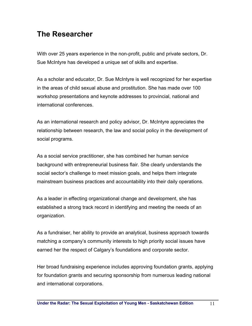# **The Researcher**

With over 25 years experience in the non-profit, public and private sectors, Dr. Sue McIntyre has developed a unique set of skills and expertise.

As a scholar and educator, Dr. Sue McIntyre is well recognized for her expertise in the areas of child sexual abuse and prostitution. She has made over 100 workshop presentations and keynote addresses to provincial, national and international conferences.

As an international research and policy advisor, Dr. McIntyre appreciates the relationship between research, the law and social policy in the development of social programs.

As a social service practitioner, she has combined her human service background with entrepreneurial business flair. She clearly understands the social sector's challenge to meet mission goals, and helps them integrate mainstream business practices and accountability into their daily operations.

As a leader in effecting organizational change and development, she has established a strong track record in identifying and meeting the needs of an organization.

As a fundraiser, her ability to provide an analytical, business approach towards matching a company's community interests to high priority social issues have earned her the respect of Calgary's foundations and corporate sector.

Her broad fundraising experience includes approving foundation grants, applying for foundation grants and securing sponsorship from numerous leading national and international corporations.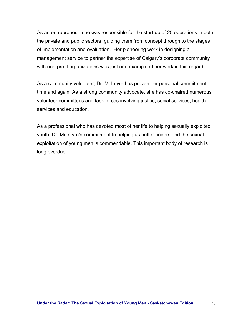As an entrepreneur, she was responsible for the start-up of 25 operations in both the private and public sectors, guiding them from concept through to the stages of implementation and evaluation. Her pioneering work in designing a management service to partner the expertise of Calgary's corporate community with non-profit organizations was just one example of her work in this regard.

As a community volunteer, Dr. McIntyre has proven her personal commitment time and again. As a strong community advocate, she has co-chaired numerous volunteer committees and task forces involving justice, social services, health services and education.

As a professional who has devoted most of her life to helping sexually exploited youth, Dr. McIntyre's commitment to helping us better understand the sexual exploitation of young men is commendable. This important body of research is long overdue.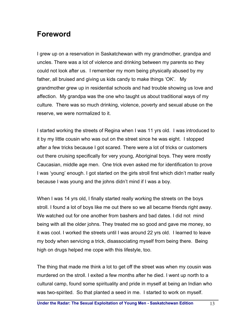### **Foreword**

I grew up on a reservation in Saskatchewan with my grandmother, grandpa and uncles. There was a lot of violence and drinking between my parents so they could not look after us. I remember my mom being physically abused by my father, all bruised and giving us kids candy to make things 'OK'. My grandmother grew up in residential schools and had trouble showing us love and affection. My grandpa was the one who taught us about traditional ways of my culture. There was so much drinking, violence, poverty and sexual abuse on the reserve, we were normalized to it.

I started working the streets of Regina when I was 11 yrs old. I was introduced to it by my little cousin who was out on the street since he was eight. I stopped after a few tricks because I got scared. There were a lot of tricks or customers out there cruising specifically for very young, Aboriginal boys. They were mostly Caucasian, middle age men. One trick even asked me for identification to prove I was 'young' enough. I got started on the girls stroll first which didn't matter really because I was young and the johns didn't mind if I was a boy.

When I was 14 yrs old, I finally started really working the streets on the boys stroll. I found a lot of boys like me out there so we all became friends right away. We watched out for one another from bashers and bad dates. I did not mind being with all the older johns. They treated me so good and gave me money, so it was cool. I worked the streets until I was around 22 yrs old. I learned to leave my body when servicing a trick, disassociating myself from being there. Being high on drugs helped me cope with this lifestyle, too.

The thing that made me think a lot to get off the street was when my cousin was murdered on the stroll. I exited a few months after he died. I went up north to a cultural camp, found some spirituality and pride in myself at being an Indian who was two-spirited. So that planted a seed in me. I started to work on myself.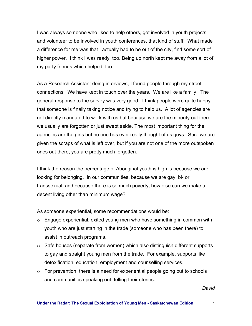I was always someone who liked to help others, get involved in youth projects and volunteer to be involved in youth conferences, that kind of stuff. What made a difference for me was that I actually had to be out of the city, find some sort of higher power. I think I was ready, too. Being up north kept me away from a lot of my party friends which helped too.

As a Research Assistant doing interviews, I found people through my street connections. We have kept in touch over the years. We are like a family. The general response to the survey was very good. I think people were quite happy that someone is finally taking notice and trying to help us. A lot of agencies are not directly mandated to work with us but because we are the minority out there, we usually are forgotten or just swept aside. The most important thing for the agencies are the girls but no one has ever really thought of us guys. Sure we are given the scraps of what is left over, but if you are not one of the more outspoken ones out there, you are pretty much forgotten.

I think the reason the percentage of Aboriginal youth is high is because we are looking for belonging. In our communities, because we are gay, bi- or transsexual, and because there is so much poverty, how else can we make a decent living other than minimum wage?

As someone experiential, some recommendations would be:

- $\circ$  Engage experiential, exited young men who have something in common with youth who are just starting in the trade (someone who has been there) to assist in outreach programs.
- $\circ$  Safe houses (separate from women) which also distinguish different supports to gay and straight young men from the trade. For example, supports like detoxification, education, employment and counselling services.
- $\circ$  For prevention, there is a need for experiential people going out to schools and communities speaking out, telling their stories.

*David*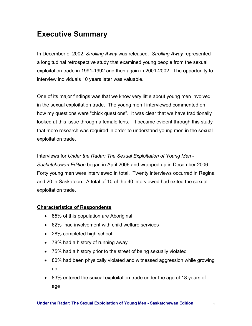# **Executive Summary**

In December of 2002, *Strolling Away* was released. *Strolling Away* represented a longitudinal retrospective study that examined young people from the sexual exploitation trade in 1991-1992 and then again in 2001-2002. The opportunity to interview individuals 10 years later was valuable.

One of its major findings was that we know very little about young men involved in the sexual exploitation trade. The young men I interviewed commented on how my questions were "chick questions". It was clear that we have traditionally looked at this issue through a female lens. It became evident through this study that more research was required in order to understand young men in the sexual exploitation trade.

Interviews for *Under the Radar: The Sexual Exploitation of Young Men* - *Saskatchewan Edition* began in April 2006 and wrapped up in December 2006. Forty young men were interviewed in total. Twenty interviews occurred in Regina and 20 in Saskatoon. A total of 10 of the 40 interviewed had exited the sexual exploitation trade.

### **Characteristics of Respondents**

- 85% of this population are Aboriginal
- 62% had involvement with child welfare services
- 28% completed high school
- 78% had a history of running away
- 75% had a history prior to the street of being sexually violated
- 80% had been physically violated and witnessed aggression while growing up
- 83% entered the sexual exploitation trade under the age of 18 years of age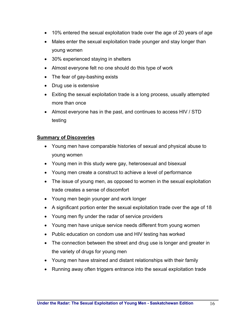- 10% entered the sexual exploitation trade over the age of 20 years of age
- Males enter the sexual exploitation trade younger and stay longer than young women
- 30% experienced staying in shelters
- Almost everyone felt no one should do this type of work
- The fear of gay-bashing exists
- Drug use is extensive
- Exiting the sexual exploitation trade is a long process, usually attempted more than once
- Almost everyone has in the past, and continues to access HIV / STD testing

#### **Summary of Discoveries**

- Young men have comparable histories of sexual and physical abuse to young women
- Young men in this study were gay, heterosexual and bisexual
- Young men create a construct to achieve a level of performance
- The issue of young men, as opposed to women in the sexual exploitation trade creates a sense of discomfort
- Young men begin younger and work longer
- A significant portion enter the sexual exploitation trade over the age of 18
- Young men fly under the radar of service providers
- Young men have unique service needs different from young women
- Public education on condom use and HIV testing has worked
- The connection between the street and drug use is longer and greater in the variety of drugs for young men
- Young men have strained and distant relationships with their family
- Running away often triggers entrance into the sexual exploitation trade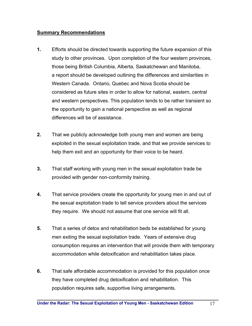#### **Summary Recommendations**

- **1.** Efforts should be directed towards supporting the future expansion of this study to other provinces. Upon completion of the four western provinces, those being British Columbia, Alberta, Saskatchewan and Manitoba, a report should be developed outlining the differences and similarities in Western Canada. Ontario, Quebec and Nova Scotia should be considered as future sites in order to allow for national, eastern, central and western perspectives. This population tends to be rather transient so the opportunity to gain a national perspective as well as regional differences will be of assistance.
- **2.** That we publicly acknowledge both young men and women are being exploited in the sexual exploitation trade, and that we provide services to help them exit and an opportunity for their voice to be heard.
- **3.** That staff working with young men in the sexual exploitation trade be provided with gender non-conformity training.
- **4.** That service providers create the opportunity for young men in and out of the sexual exploitation trade to tell service providers about the services they require. We should not assume that one service will fit all.
- **5.** That a series of detox and rehabilitation beds be established for young men exiting the sexual exploitation trade. Years of extensive drug consumption requires an intervention that will provide them with temporary accommodation while detoxification and rehabilitation takes place.
- **6.** That safe affordable accommodation is provided for this population once they have completed drug detoxification and rehabilitation. This population requires safe, supportive living arrangements.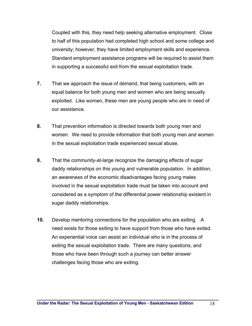Coupled with this, they need help seeking alternative employment. Close to half of this population had completed high school and some college and university; however, they have limited employment skills and experience. Standard employment assistance programs will be required to assist them in supporting a successful exit from the sexual exploitation trade.

- **7.** That we approach the issue of demand, that being customers, with an equal balance for both young men and women who are being sexually exploited. Like women, these men are young people who are in need of our assistance.
- **8.** That prevention information is directed towards both young men and women. We need to provide information that both young men and women in the sexual exploitation trade experienced sexual abuse.
- **9.** That the community-at-large recognize the damaging effects of sugar daddy relationships on this young and vulnerable population. In addition, an awareness of the economic disadvantages facing young males involved in the sexual exploitation trade must be taken into account and considered as a symptom of the differential power relationship existent in sugar daddy relationships.
- **10.** Develop mentoring connections for the population who are exiting. A need exists for those exiting to have support from those who have exited. An experiential voice can assist an individual who is in the process of exiting the sexual exploitation trade. There are many questions, and those who have been through such a journey can better answer challenges facing those who are exiting.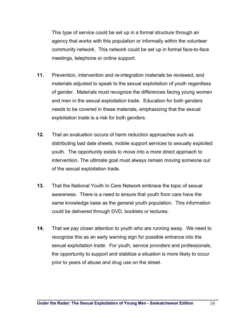This type of service could be set up in a formal structure through an agency that works with this population or informally within the volunteer community network. This network could be set up in formal face-to-face meetings, telephone or online support.

- **11.** Prevention, intervention and re-integration materials be reviewed, and materials adjusted to speak to the sexual exploitation of youth regardless of gender. Materials must recognize the differences facing young women and men in the sexual exploitation trade. Education for both genders needs to be covered in these materials, emphasizing that the sexual exploitation trade is a risk for both genders.
- **12.** That an evaluation occurs of harm reduction approaches such as distributing bad date sheets, mobile support services to sexually exploited youth. The opportunity exists to move into a more direct approach to intervention. The ultimate goal must always remain moving someone out of the sexual exploitation trade.
- **13.** That the National Youth In Care Network embrace the topic of sexual awareness. There is a need to ensure that youth from care have the same knowledge base as the general youth population. This information could be delivered through DVD, booklets or lectures.
- **14.** That we pay closer attention to youth who are running away. We need to recognize this as an early warning sign for possible entrance into the sexual exploitation trade. For youth, service providers and professionals, the opportunity to support and stabilize a situation is more likely to occur prior to years of abuse and drug use on the street.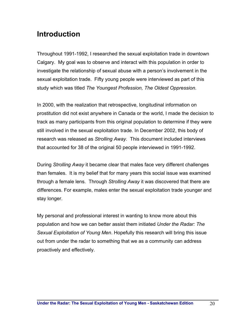## **Introduction**

Throughout 1991-1992, I researched the sexual exploitation trade in downtown Calgary. My goal was to observe and interact with this population in order to investigate the relationship of sexual abuse with a person's involvement in the sexual exploitation trade. Fifty young people were interviewed as part of this study which was titled *The Youngest Profession, The Oldest Oppression*.

In 2000, with the realization that retrospective, longitudinal information on prostitution did not exist anywhere in Canada or the world, I made the decision to track as many participants from this original population to determine if they were still involved in the sexual exploitation trade. In December 2002, this body of research was released as *Strolling Away*. This document included interviews that accounted for 38 of the original 50 people interviewed in 1991-1992.

During *Strolling Away* it became clear that males face very different challenges than females. It is my belief that for many years this social issue was examined through a female lens. Through *Strolling Away* it was discovered that there are differences. For example, males enter the sexual exploitation trade younger and stay longer.

My personal and professional interest in wanting to know more about this population and how we can better assist them initiated *Under the Radar: The Sexual Exploitation of Young Men*. Hopefully this research will bring this issue out from under the radar to something that we as a community can address proactively and effectively.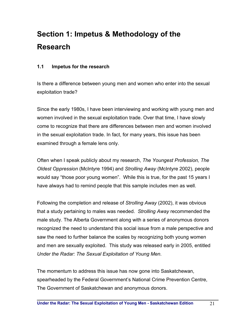# **Section 1: Impetus & Methodology of the Research**

### **1.1 Impetus for the research**

Is there a difference between young men and women who enter into the sexual exploitation trade?

Since the early 1980s, I have been interviewing and working with young men and women involved in the sexual exploitation trade. Over that time, I have slowly come to recognize that there are differences between men and women involved in the sexual exploitation trade. In fact, for many years, this issue has been examined through a female lens only.

Often when I speak publicly about my research, *The Youngest Profession, The Oldest Oppression* (McIntyre 1994) and *Strolling Away* (McIntyre 2002), people would say "those poor young women". While this is true, for the past 15 years I have always had to remind people that this sample includes men as well.

Following the completion and release of *Strolling Away* (2002), it was obvious that a study pertaining to males was needed. *Strolling Away* recommended the male study. The Alberta Government along with a series of anonymous donors recognized the need to understand this social issue from a male perspective and saw the need to further balance the scales by recognizing both young women and men are sexually exploited. This study was released early in 2005, entitled *Under the Radar: The Sexual Exploitation of Young Men*.

The momentum to address this issue has now gone into Saskatchewan, spearheaded by the Federal Government's National Crime Prevention Centre, The Government of Saskatchewan and anonymous donors.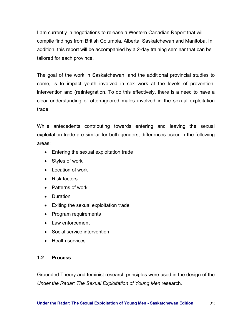I am currently in negotiations to release a Western Canadian Report that will compile findings from British Columbia, Alberta, Saskatchewan and Manitoba. In addition, this report will be accompanied by a 2-day training seminar that can be tailored for each province.

The goal of the work in Saskatchewan, and the additional provincial studies to come, is to impact youth involved in sex work at the levels of prevention, intervention and (re)integration. To do this effectively, there is a need to have a clear understanding of often-ignored males involved in the sexual exploitation trade.

While antecedents contributing towards entering and leaving the sexual exploitation trade are similar for both genders, differences occur in the following areas:

- Entering the sexual exploitation trade
- Styles of work
- Location of work
- Risk factors
- Patterns of work
- Duration
- Exiting the sexual exploitation trade
- Program requirements
- Law enforcement
- Social service intervention
- Health services

### **1.2 Process**

Grounded Theory and feminist research principles were used in the design of the *Under the Radar: The Sexual Exploitation of Young Men* research.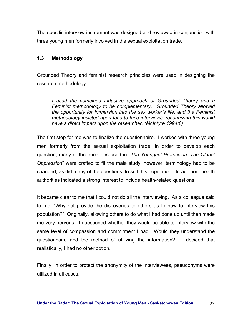The specific interview instrument was designed and reviewed in conjunction with three young men formerly involved in the sexual exploitation trade.

### **1.3 Methodology**

Grounded Theory and feminist research principles were used in designing the research methodology.

*I used the combined inductive approach of Grounded Theory and a Feminist methodology to be complementary. Grounded Theory allowed the opportunity for immersion into the sex worker's life, and the Feminist methodology insisted upon face to face interviews, recognizing this would have a direct impact upon the researcher. (McIntyre 1994:6)* 

The first step for me was to finalize the questionnaire. I worked with three young men formerly from the sexual exploitation trade. In order to develop each question, many of the questions used in "*The Youngest Profession: The Oldest Oppression*" were crafted to fit the male study; however, terminology had to be changed, as did many of the questions, to suit this population. In addition, health authorities indicated a strong interest to include health-related questions.

It became clear to me that I could not do all the interviewing. As a colleague said to me, "Why not provide the discoveries to others as to how to interview this population?" Originally, allowing others to do what I had done up until then made me very nervous. I questioned whether they would be able to interview with the same level of compassion and commitment I had. Would they understand the questionnaire and the method of utilizing the information? I decided that realistically, I had no other option.

Finally, in order to protect the anonymity of the interviewees, pseudonyms were utilized in all cases.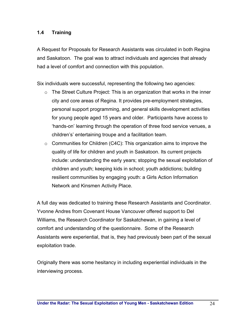### **1.4 Training**

A Request for Proposals for Research Assistants was circulated in both Regina and Saskatoon. The goal was to attract individuals and agencies that already had a level of comfort and connection with this population.

Six individuals were successful, representing the following two agencies:

- $\circ$  The Street Culture Project: This is an organization that works in the inner city and core areas of Regina. It provides pre-employment strategies, personal support programming, and general skills development activities for young people aged 15 years and older. Participants have access to 'hands-on' learning through the operation of three food service venues, a children's' entertaining troupe and a facilitation team.
- $\circ$  Communities for Children (C4C): This organization aims to improve the quality of life for children and youth in Saskatoon. Its current projects include: understanding the early years; stopping the sexual exploitation of children and youth; keeping kids in school; youth addictions; building resilient communities by engaging youth: a Girls Action Information Network and Kinsmen Activity Place.

A full day was dedicated to training these Research Assistants and Coordinator. Yvonne Andres from Covenant House Vancouver offered support to Del Williams, the Research Coordinator for Saskatchewan, in gaining a level of comfort and understanding of the questionnaire. Some of the Research Assistants were experiential, that is, they had previously been part of the sexual exploitation trade.

Originally there was some hesitancy in including experiential individuals in the interviewing process.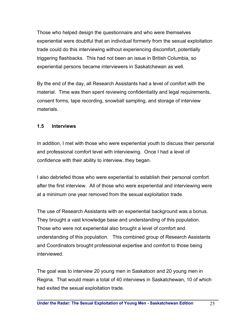Those who helped design the questionnaire and who were themselves experiential were doubtful that an individual formerly from the sexual exploitation trade could do this interviewing without experiencing discomfort, potentially triggering flashbacks. This had not been an issue in British Columbia, so experiential persons became interviewers in Saskatchewan as well.

By the end of the day, all Research Assistants had a level of comfort with the material. Time was then spent reviewing confidentiality and legal requirements, consent forms, tape recording, snowball sampling, and storage of interview materials.

### **1.5 Interviews**

In addition, I met with those who were experiential youth to discuss their personal and professional comfort level with interviewing. Once I had a level of confidence with their ability to interview, they began.

I also debriefed those who were experiential to establish their personal comfort after the first interview. All of those who were experiential and interviewing were at a minimum one year removed from the sexual exploitation trade.

The use of Research Assistants with an experiential background was a bonus. They brought a vast knowledge base and understanding of this population. Those who were not experiential also brought a level of comfort and understanding of this population. This combined group of Research Assistants and Coordinators brought professional expertise and comfort to those being interviewed.

The goal was to interview 20 young men in Saskatoon and 20 young men in Regina. That would mean a total of 40 interviews in Saskatchewan, 10 of which had exited the sexual exploitation trade.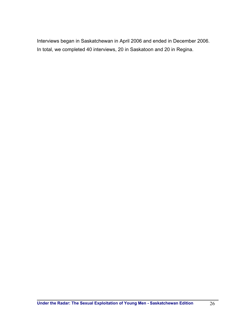Interviews began in Saskatchewan in April 2006 and ended in December 2006. In total, we completed 40 interviews, 20 in Saskatoon and 20 in Regina.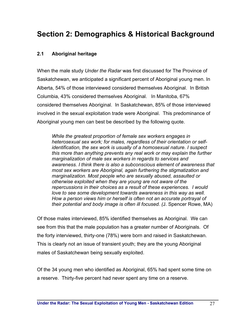### **Section 2: Demographics & Historical Background**

### **2.1 Aboriginal heritage**

When the male study *Under the Radar* was first discussed for The Province of Saskatchewan, we anticipated a significant percent of Aboriginal young men. In Alberta, 54% of those interviewed considered themselves Aboriginal. In British Columbia, 43% considered themselves Aboriginal. In Manitoba, 67% considered themselves Aboriginal. In Saskatchewan, 85% of those interviewed involved in the sexual exploitation trade were Aboriginal. This predominance of Aboriginal young men can best be described by the following quote.

*While the greatest proportion of female sex workers engages in heterosexual sex work; for males, regardless of their orientation or selfidentification, the sex work is usually of a homosexual nature. I suspect this more than anything prevents any real work or may explain the further marginalization of male sex workers in regards to services and awareness. I think there is also a subconscious element of awareness that most sex workers are Aboriginal, again furthering the stigmatization and marginalization. Most people who are sexually abused, assaulted or otherwise exploited when they are young are not aware of the repercussions in their choices as a result of these experiences. I would love to see some development towards awareness in this way as well. How a person views him or herself is often not an accurate portrayal of their potential and body image is often ill focused. (*J. Spencer Rowe, MA)

Of those males interviewed, 85% identified themselves as Aboriginal. We can see from this that the male population has a greater number of Aboriginals. Of the forty interviewed, thirty-one (78%) were born and raised in Saskatchewan. This is clearly not an issue of transient youth; they are the young Aboriginal males of Saskatchewan being sexually exploited.

Of the 34 young men who identified as Aboriginal, 65% had spent some time on a reserve. Thirty-five percent had never spent any time on a reserve.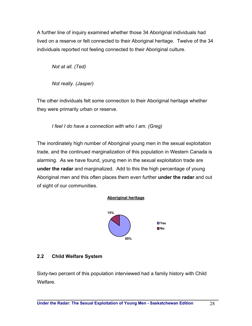A further line of inquiry examined whether those 34 Aboriginal individuals had lived on a reserve or felt connected to their Aboriginal heritage. Twelve of the 34 individuals reported not feeling connected to their Aboriginal culture.

 *Not at all. (Ted)* 

*Not really. (Jasper)* 

The other individuals felt some connection to their Aboriginal heritage whether they were primarily urban or reserve.

 *I feel I do have a connection with who I am. (Greg)* 

The inordinately high number of Aboriginal young men in the sexual exploitation trade, and the continued marginalization of this population in Western Canada is alarming. As we have found, young men in the sexual exploitation trade are **under the radar** and marginalized. Add to this the high percentage of young Aboriginal men and this often places them even further **under the radar** and out of sight of our communities.

### **Aboriginal heritage**



### **2.2 Child Welfare System**

Sixty-two percent of this population interviewed had a family history with Child Welfare.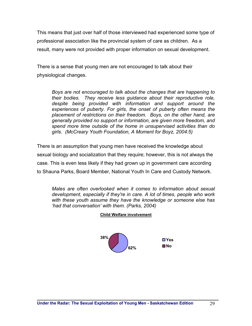This means that just over half of those interviewed had experienced some type of professional association like the provincial system of care as children. As a result, many were not provided with proper information on sexual development.

There is a sense that young men are not encouraged to talk about their physiological changes.

*Boys are not encouraged to talk about the changes that are happening to their bodies. They receive less guidance about their reproductive role, despite being provided with information and support around the experiences of puberty. For girls, the onset of puberty often means the placement of restrictions on their freedom. Boys, on the other hand, are generally provided no support or information, are given more freedom, and spend more time outside of the home in unsupervised activities than do girls. (McCreary Youth Foundation, A Moment for Boyz, 2004:5)* 

There is an assumption that young men have received the knowledge about sexual biology and socialization that they require; however, this is not always the case. This is even less likely if they had grown up in government care according to Shauna Parks, Board Member, National Youth In Care and Custody Network.

*Males are often overlooked when it comes to information about sexual development, especially if they're in care. A lot of times, people who work with these youth assume they have the knowledge or someone else has 'had that conversation' with them. (Parks, 2004)* 



#### **Child Welfare involvement**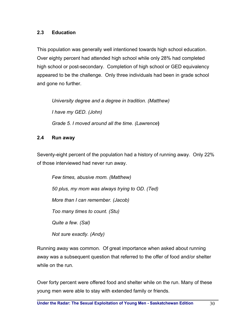### **2.3 Education**

This population was generally well intentioned towards high school education. Over eighty percent had attended high school while only 28% had completed high school or post-secondary. Completion of high school or GED equivalency appeared to be the challenge. Only three individuals had been in grade school and gone no further.

*University degree and a degree in tradition. (Matthew) I have my GED. (John) Grade 5. I moved around all the time. (Lawrence***)** 

### **2.4 Run away**

Seventy-eight percent of the population had a history of running away. Only 22% of those interviewed had never run away.

*Few times, abusive mom. (Matthew) 50 plus, my mom was always trying to OD. (Ted) More than I can remember. (Jacob) Too many times to count. (Stu) Quite a few. (Sal) Not sure exactly. (Andy)* 

Running away was common. Of great importance when asked about running away was a subsequent question that referred to the offer of food and/or shelter while on the run.

Over forty percent were offered food and shelter while on the run. Many of these young men were able to stay with extended family or friends.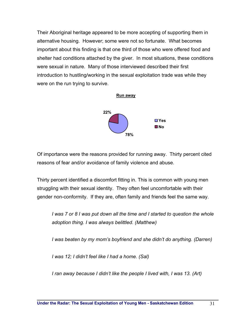Their Aboriginal heritage appeared to be more accepting of supporting them in alternative housing. However; some were not so fortunate. What becomes important about this finding is that one third of those who were offered food and shelter had conditions attached by the giver. In most situations, these conditions were sexual in nature. Many of those interviewed described their first introduction to hustling/working in the sexual exploitation trade was while they were on the run trying to survive.



Of importance were the reasons provided for running away. Thirty percent cited reasons of fear and/or avoidance of family violence and abuse.

Thirty percent identified a discomfort fitting in. This is common with young men struggling with their sexual identity. They often feel uncomfortable with their gender non-conformity. If they are, often family and friends feel the same way.

*I* was 7 or 8 *I* was put down all the time and *I* started to question the whole *adoption thing. I was always belittled. (Matthew)* 

*I* was beaten by my mom's boyfriend and she didn't do anything. (Darren)

*I was 12; I didn't feel like I had a home. (Sal)* 

*I ran away because I didn't like the people I lived with, I was 13. (Art)*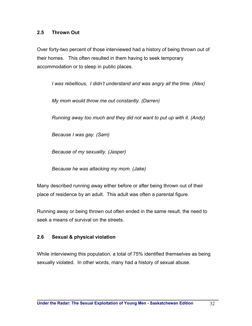#### **2.5 Thrown Out**

Over forty-two percent of those interviewed had a history of being thrown out of their homes. This often resulted in them having to seek temporary accommodation or to sleep in public places.

*I was rebellious, I didn't understand and was angry all the time. (Alex)* 

*My mom would throw me out constantly. (Darren)* 

*Running away too much and they did not want to put up with it. (Andy)* 

*Because I was gay. (Sam)* 

*Because of my sexuality. (Jasper)* 

*Because he was attacking my mom. (Jake)* 

Many described running away either before or after being thrown out of their place of residence by an adult. This adult was often a parental figure.

Running away or being thrown out often ended in the same result, the need to seek a means of survival on the streets.

#### **2.6 Sexual & physical violation**

While interviewing this population, a total of 75% identified themselves as being sexually violated. In other words, many had a history of sexual abuse.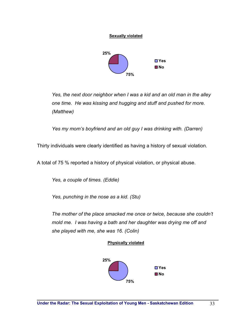

**Sexually violated**

*Yes, the next door neighbor when I was a kid and an old man in the alley one time. He was kissing and hugging and stuff and pushed for more. (Matthew)* 

*Yes my mom's boyfriend and an old guy I was drinking with. (Darren)* 

Thirty individuals were clearly identified as having a history of sexual violation.

A total of 75 % reported a history of physical violation, or physical abuse.

*Yes, a couple of times. (Eddie)* 

*Yes, punching in the nose as a kid. (Stu)* 

*The mother of the place smacked me once or twice, because she couldn't mold me. I was having a bath and her daughter was drying me off and she played with me, she was 16. (Colin)* 

#### **Physically violated**

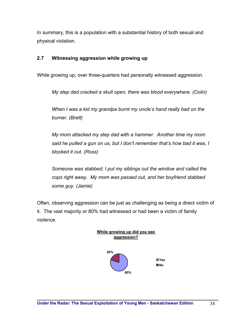In summary, this is a population with a substantial history of both sexual and physical violation.

### **2.7 Witnessing aggression while growing up**

While growing up, over three-quarters had personally witnessed aggression.

*My step dad cracked a skull open, there was blood everywhere. (Colin)* 

*When I was a kid my grandpa burnt my uncle's hand really bad on the burner. (Brett)* 

*My mom attacked my step dad with a hammer. Another time my mom said he pulled a gun on us, but I don't remember that's how bad it was, I blocked it out. (Ross)* 

*Someone was stabbed; I put my siblings out the window and called the cops right away. My mom was passed out, and her boyfriend stabbed some guy. (Jamie)* 

Often, observing aggression can be just as challenging as being a direct victim of it. The vast majority or 80% had witnessed or had been a victim of family violence.

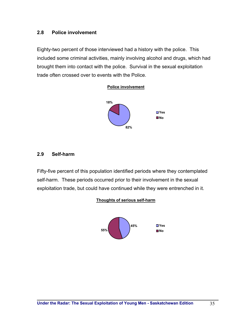#### **2.8 Police involvement**

Eighty-two percent of those interviewed had a history with the police. This included some criminal activities, mainly involving alcohol and drugs, which had brought them into contact with the police. Survival in the sexual exploitation trade often crossed over to events with the Police.



#### **2.9 Self-harm**

Fifty-five percent of this population identified periods where they contemplated self-harm. These periods occurred prior to their involvement in the sexual exploitation trade, but could have continued while they were entrenched in it.



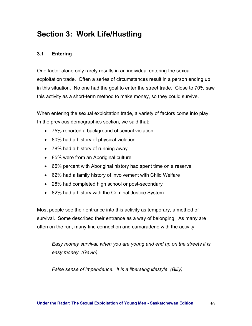## **Section 3: Work Life/Hustling**

### **3.1 Entering**

One factor alone only rarely results in an individual entering the sexual exploitation trade. Often a series of circumstances result in a person ending up in this situation. No one had the goal to enter the street trade. Close to 70% saw this activity as a short-term method to make money, so they could survive.

When entering the sexual exploitation trade, a variety of factors come into play. In the previous demographics section, we said that:

- 75% reported a background of sexual violation
- 80% had a history of physical violation
- 78% had a history of running away
- 85% were from an Aboriginal culture
- 65% percent with Aboriginal history had spent time on a reserve
- 62% had a family history of involvement with Child Welfare
- 28% had completed high school or post-secondary
- 82% had a history with the Criminal Justice System

Most people see their entrance into this activity as temporary, a method of survival. Some described their entrance as a way of belonging. As many are often on the run, many find connection and camaraderie with the activity.

*Easy money survival, when you are young and end up on the streets it is easy money. (Gavin)* 

*False sense of impendence. It is a liberating lifestyle. (Billy)*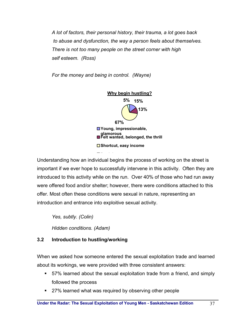*A lot of factors, their personal history, their trauma, a lot goes back to abuse and dysfunction, the way a person feels about themselves. There is not too many people on the street corner with high self esteem. (Ross)* 

*For the money and being in control. (Wayne)* 



Understanding how an individual begins the process of working on the street is important if we ever hope to successfully intervene in this activity. Often they are introduced to this activity while on the run. Over 40% of those who had run away were offered food and/or shelter; however, there were conditions attached to this offer. Most often these conditions were sexual in nature, representing an introduction and entrance into exploitive sexual activity.

*Yes, subtly. (Colin) Hidden conditions. (Adam)* 

# **3.2 Introduction to hustling/working**

When we asked how someone entered the sexual exploitation trade and learned about its workings, we were provided with three consistent answers:

- 57% learned about the sexual exploitation trade from a friend, and simply followed the process
- 27% learned what was required by observing other people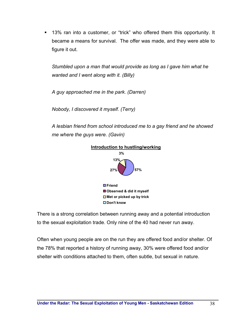13% ran into a customer, or "trick" who offered them this opportunity. It became a means for survival. The offer was made, and they were able to figure it out.

*Stumbled upon a man that would provide as long as I gave him what he wanted and I went along with it. (Billy)* 

*A guy approached me in the park. (Darren)* 

*Nobody, I discovered it myself. (Terry)* 

*A lesbian friend from school introduced me to a gay friend and he showed me where the guys were. (Gavin)* 



There is a strong correlation between running away and a potential introduction to the sexual exploitation trade. Only nine of the 40 had never run away.

Often when young people are on the run they are offered food and/or shelter. Of the 78% that reported a history of running away, 30% were offered food and/or shelter with conditions attached to them, often subtle, but sexual in nature.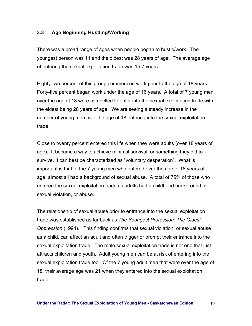# **3.3 Age Beginning Hustling/Working**

There was a broad range of ages when people began to hustle/work. The youngest person was 11 and the oldest was 28 years of age. The average age of entering the sexual exploitation trade was 15.7 years.

Eighty-two percent of this group commenced work prior to the age of 18 years. Forty-five percent began work under the age of 16 years. A total of 7 young men over the age of 18 were compelled to enter into the sexual exploitation trade with the eldest being 28 years of age. We are seeing a steady increase in the number of young men over the age of 18 entering into the sexual exploitation trade.

Close to twenty percent entered this life when they were adults (over 18 years of age). It became a way to achieve minimal survival, or something they did to survive. It can best be characterized as "voluntary desperation". What is important is that of the 7 young men who entered over the age of 18 years of age, almost all had a background of sexual abuse. A total of 75% of those who entered the sexual exploitation trade as adults had a childhood background of sexual violation, or abuse.

The relationship of sexual abuse prior to entrance into the sexual exploitation trade was established as far back as *The Youngest Profession: The Oldest Oppression* (1994). This finding confirms that sexual violation, or sexual abuse as a child, can affect an adult and often trigger or prompt their entrance into the sexual exploitation trade. The male sexual exploitation trade is not one that just attracts children and youth. Adult young men can be at risk of entering into the sexual exploitation trade too. Of the 7 young adult men that were over the age of 18, their average age was 21 when they entered into the sexual exploitation trade.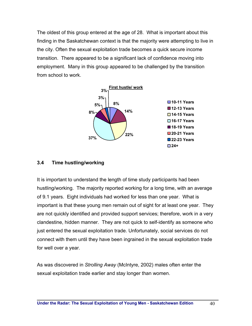The oldest of this group entered at the age of 28. What is important about this finding in the Saskatchewan context is that the majority were attempting to live in the city. Often the sexual exploitation trade becomes a quick secure income transition. There appeared to be a significant lack of confidence moving into employment. Many in this group appeared to be challenged by the transition from school to work.



#### **3.4 Time hustling/working**

It is important to understand the length of time study participants had been hustling/working. The majority reported working for a long time, with an average of 9.1 years. Eight individuals had worked for less than one year. What is important is that these young men remain out of sight for at least one year. They are not quickly identified and provided support services; therefore, work in a very clandestine, hidden manner. They are not quick to self-identify as someone who just entered the sexual exploitation trade. Unfortunately, social services do not connect with them until they have been ingrained in the sexual exploitation trade for well over a year.

As was discovered in *Strolling Away* (McIntyre, 2002) males often enter the sexual exploitation trade earlier and stay longer than women.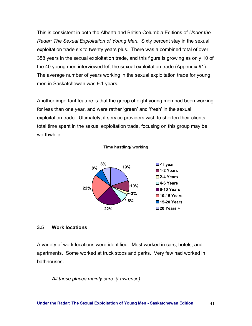This is consistent in both the Alberta and British Columbia Editions of *Under the Radar: The Sexual Exploitation of Young Men*. Sixty percent stay in the sexual exploitation trade six to twenty years plus. There was a combined total of over 358 years in the sexual exploitation trade, and this figure is growing as only 10 of the 40 young men interviewed left the sexual exploitation trade (Appendix #1). The average number of years working in the sexual exploitation trade for young men in Saskatchewan was 9.1 years.

Another important feature is that the group of eight young men had been working for less than one year, and were rather 'green' and 'fresh' in the sexual exploitation trade. Ultimately, if service providers wish to shorten their clients total time spent in the sexual exploitation trade, focusing on this group may be worthwhile.

#### **Time hustling/ working**



#### **3.5 Work locations**

A variety of work locations were identified. Most worked in cars, hotels, and apartments. Some worked at truck stops and parks. Very few had worked in bathhouses.

*All those places mainly cars. (Lawrence)*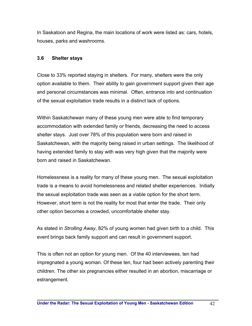In Saskatoon and Regina, the main locations of work were listed as: cars, hotels, houses, parks and washrooms.

## **3.6 Shelter stays**

Close to 33% reported staying in shelters. For many, shelters were the only option available to them. Their ability to gain government support given their age and personal circumstances was minimal. Often, entrance into and continuation of the sexual exploitation trade results in a distinct lack of options.

Within Saskatchewan many of these young men were able to find temporary accommodation with extended family or friends, decreasing the need to access shelter stays. Just over 78% of this population were born and raised in Saskatchewan, with the majority being raised in urban settings. The likelihood of having extended family to stay with was very high given that the majority were born and raised in Saskatchewan.

Homelessness is a reality for many of these young men. The sexual exploitation trade is a means to avoid homelessness and related shelter experiences. Initially the sexual exploitation trade was seen as a viable option for the short term. However, short term is not the reality for most that enter the trade. Their only other option becomes a crowded, uncomfortable shelter stay.

As stated in *Strolling Away*, 82% of young women had given birth to a child. This event brings back family support and can result in government support.

This is often not an option for young men. Of the 40 interviewees, ten had impregnated a young woman. Of these ten, four had been actively parenting their children. The other six pregnancies either resulted in an abortion, miscarriage or estrangement.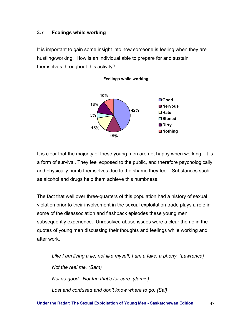# **3.7 Feelings while working**

It is important to gain some insight into how someone is feeling when they are hustling/working. How is an individual able to prepare for and sustain themselves throughout this activity?

**Feelings while working**



It is clear that the majority of these young men are not happy when working. It is a form of survival. They feel exposed to the public, and therefore psychologically and physically numb themselves due to the shame they feel. Substances such as alcohol and drugs help them achieve this numbness.

The fact that well over three-quarters of this population had a history of sexual violation prior to their involvement in the sexual exploitation trade plays a role in some of the disassociation and flashback episodes these young men subsequently experience. Unresolved abuse issues were a clear theme in the quotes of young men discussing their thoughts and feelings while working and after work.

*Like I am living a lie, not like myself, I am a fake, a phony. (Lawrence) Not the real me. (Sam) Not so good. Not fun that's for sure. (Jamie) Lost and confused and don't know where to go. (Sal)*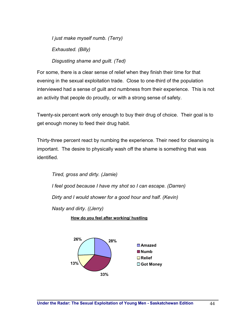*I just make myself numb. (Terry) Exhausted. (Billy) Disgusting shame and guilt. (Ted)* 

For some, there is a clear sense of relief when they finish their time for that evening in the sexual exploitation trade. Close to one-third of the population interviewed had a sense of guilt and numbness from their experience. This is not an activity that people do proudly, or with a strong sense of safety.

Twenty-six percent work only enough to buy their drug of choice. Their goal is to get enough money to feed their drug habit.

Thirty-three percent react by numbing the experience. Their need for cleansing is important. The desire to physically wash off the shame is something that was identified.

*Tired, gross and dirty. (Jamie) I feel good because I have my shot so I can escape. (Darren) Dirty and I would shower for a good hour and half. (Kevin) Nasty and dirty. ((Jerry)* 

**How do you feel after working/ hustling**

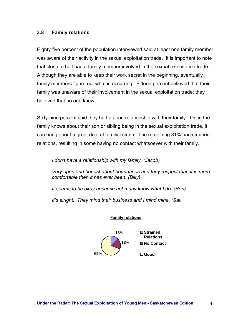## **3.8 Family relations**

Eighty-five percent of the population interviewed said at least one family member was aware of their activity in the sexual exploitation trade. It is important to note that close to half had a family member involved in the sexual exploitation trade. Although they are able to keep their work secret in the beginning, eventually family members figure out what is occurring. Fifteen percent believed that their family was unaware of their involvement in the sexual exploitation trade; they believed that no one knew.

Sixty-nine percent said they had a good relationship with their family. Once the family knows about their son or sibling being in the sexual exploitation trade, it can bring about a great deal of familial strain. The remaining 31% had strained relations, resulting in some having no contact whatsoever with their family.

*I don't have a relationship with my family. (Jacob)* 

*Very open and honest about boundaries and they respect that, it is more comfortable then it has ever been. (Billy)* 

*It seems to be okay because not many know what I do. (Ron)* 

*It's alright. They mind their business and I mind mine. (Sal)* 



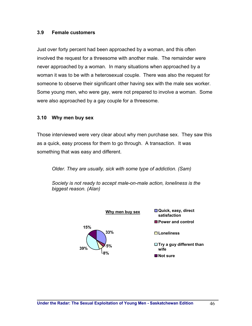#### **3.9 Female customers**

Just over forty percent had been approached by a woman, and this often involved the request for a threesome with another male. The remainder were never approached by a woman. In many situations when approached by a woman it was to be with a heterosexual couple. There was also the request for someone to observe their significant other having sex with the male sex worker. Some young men, who were gay, were not prepared to involve a woman. Some were also approached by a gay couple for a threesome.

#### **3.10 Why men buy sex**

Those interviewed were very clear about why men purchase sex. They saw this as a quick, easy process for them to go through. A transaction. It was something that was easy and different.

*Older. They are usually, sick with some type of addiction. (Sam)* 

*Society is not ready to accept male-on-male action, loneliness is the biggest reason. (Alan)* 

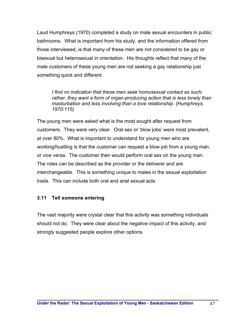Laud Humphreys (1970) completed a study on male sexual encounters in public bathrooms. What is important from his study, and the information offered from those interviewed, is that many of these men are not considered to be gay or bisexual but heterosexual in orientation. His thoughts reflect that many of the male customers of these young men are not seeking a gay relationship just something quick and different.

*I find no indication that these men seek homosexual contact as such;*  rather, they want a form of organ-producing action that is less lonely than *masturbation and less involving than a love relationship. (Humphreys, 1970:115)* 

The young men were asked what is the most sought after request from customers. They were very clear. Oral sex or 'blow jobs' were most prevalent, at over 80%. What is important to understand for young men who are working/hustling is that the customer can request a blow job from a young man, or vice versa. The customer then would perform oral sex on the young man. The roles can be described as the provider or the deliverer and are interchangeable. This is something unique to males in the sexual exploitation trade. This can include both oral and anal sexual acts.

## **3.11 Tell someone entering**

The vast majority were crystal clear that this activity was something individuals should not do. They were clear about the negative impact of this activity, and strongly suggested people explore other options.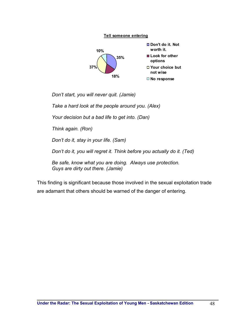

*Don't start, you will never quit. (Jamie)* 

*Take a hard look at the people around you. (Alex)* 

*Your decision but a bad life to get into. (Dan)* 

*Think again. (Ron)* 

*Don't do it, stay in your life. (Sam)* 

*Don't do it, you will regret it. Think before you actually do it. (Ted)* 

*Be safe, know what you are doing. Always use protection. Guys are dirty out there. (Jamie)* 

This finding is significant because those involved in the sexual exploitation trade are adamant that others should be warned of the danger of entering.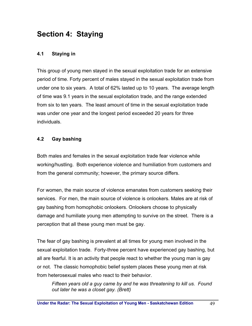# **Section 4: Staying**

# **4.1 Staying in**

This group of young men stayed in the sexual exploitation trade for an extensive period of time. Forty percent of males stayed in the sexual exploitation trade from under one to six years. A total of 62% lasted up to 10 years. The average length of time was 9.1 years in the sexual exploitation trade, and the range extended from six to ten years. The least amount of time in the sexual exploitation trade was under one year and the longest period exceeded 20 years for three individuals.

## **4.2 Gay bashing**

Both males and females in the sexual exploitation trade fear violence while working/hustling. Both experience violence and humiliation from customers and from the general community; however, the primary source differs.

For women, the main source of violence emanates from customers seeking their services. For men, the main source of violence is onlookers. Males are at risk of gay bashing from homophobic onlookers. Onlookers choose to physically damage and humiliate young men attempting to survive on the street. There is a perception that all these young men must be gay.

The fear of gay bashing is prevalent at all times for young men involved in the sexual exploitation trade. Forty-three percent have experienced gay bashing, but all are fearful. It is an activity that people react to whether the young man is gay or not. The classic homophobic belief system places these young men at risk from heterosexual males who react to their behavior.

*Fifteen years old a guy came by and he was threatening to kill us. Found out later he was a closet gay. (Brett)*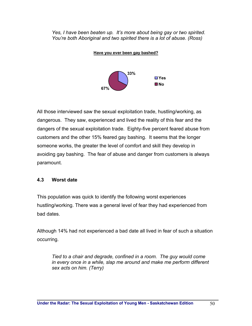*Yes, I have been beaten up. It's more about being gay or two spirited. You're both Aboriginal and two spirited there is a lot of abuse. (Ross)* 



All those interviewed saw the sexual exploitation trade, hustling/working, as dangerous. They saw, experienced and lived the reality of this fear and the dangers of the sexual exploitation trade. Eighty-five percent feared abuse from customers and the other 15% feared gay bashing. It seems that the longer someone works, the greater the level of comfort and skill they develop in avoiding gay bashing. The fear of abuse and danger from customers is always paramount.

# **4.3 Worst date**

This population was quick to identify the following worst experiences hustling/working. There was a general level of fear they had experienced from bad dates.

Although 14% had not experienced a bad date all lived in fear of such a situation occurring.

*Tied to a chair and degrade, confined in a room. The guy would come in every once in a while, slap me around and make me perform different sex acts on him. (Terry)*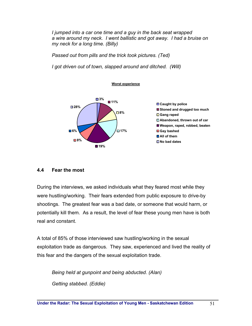*I jumped into a car one time and a guy in the back seat wrapped a wire around my neck. I went ballistic and got away. I had a bruise on my neck for a long time. (Billy)* 

*Passed out from pills and the trick took pictures. (Ted)* 

*I got driven out of town, slapped around and ditched. (Will)* 



## **4.4 Fear the most**

During the interviews, we asked individuals what they feared most while they were hustling/working. Their fears extended from public exposure to drive-by shootings. The greatest fear was a bad date, or someone that would harm, or potentially kill them. As a result, the level of fear these young men have is both real and constant.

A total of 85% of those interviewed saw hustling/working in the sexual exploitation trade as dangerous. They saw, experienced and lived the reality of this fear and the dangers of the sexual exploitation trade.

*Being held at gunpoint and being abducted. (Alan) Getting stabbed. (Eddie)*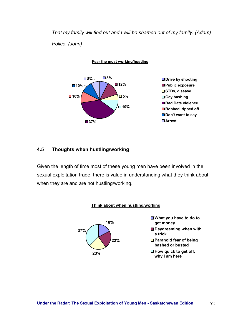*That my family will find out and I will be shamed out of my family. (Adam) Police. (John)* 

**Fear the most working/hustling**



## **4.5 Thoughts when hustling/working**

Given the length of time most of these young men have been involved in the sexual exploitation trade, there is value in understanding what they think about when they are and are not hustling/working.

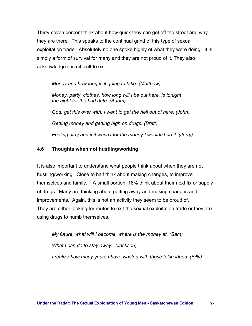Thirty-seven percent think about how quick they can get off the street and why they are there. This speaks to the continual grind of this type of sexual exploitation trade. Absolutely no one spoke highly of what they were doing. It is simply a form of survival for many and they are not proud of it. They also acknowledge it is difficult to exit.

*Money and how long is it going to take. (Matthew) Money, party, clothes, how long will I be out here, is tonight the night for the bad date. (Adam) God, get this over with, I want to get the hell out of here. (John) Getting money and getting high on drugs. (Brett) Feeling dirty and if it wasn't for the money I wouldn't do it. (Jerry)* 

# **4.6 Thoughts when not hustling/working**

It is also important to understand what people think about when they are not hustling/working. Close to half think about making changes, to improve themselves and family. A small portion, 18% think about their next fix or supply of drugs. Many are thinking about getting away and making changes and improvements. Again, this is not an activity they seem to be proud of. They are either looking for routes to exit the sexual exploitation trade or they are using drugs to numb themselves.

*My future, what will I become, where is the money at. (Sam) What I can do to stay away. (Jackson) I realize how many years I have wasted with those false ideas. (Billy)*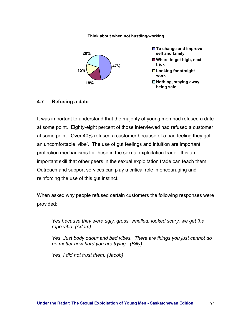#### **Think about when not hustling/working**



#### **4.7 Refusing a date**

It was important to understand that the majority of young men had refused a date at some point. Eighty-eight percent of those interviewed had refused a customer at some point. Over 40% refused a customer because of a bad feeling they got, an uncomfortable 'vibe'. The use of gut feelings and intuition are important protection mechanisms for those in the sexual exploitation trade. It is an important skill that other peers in the sexual exploitation trade can teach them. Outreach and support services can play a critical role in encouraging and reinforcing the use of this gut instinct.

When asked why people refused certain customers the following responses were provided:

*Yes because they were ugly, gross, smelled, looked scary, we get the rape vibe. (Adam)* 

*Yes. Just body odour and bad vibes. There are things you just cannot do no matter how hard you are trying. (Billy)* 

*Yes, I did not trust them. (Jacob)*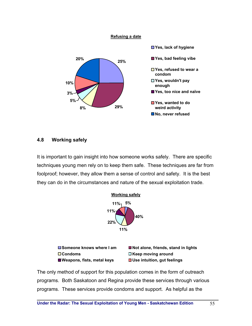

## **4.8 Working safely**

It is important to gain insight into how someone works safely. There are specific techniques young men rely on to keep them safe. These techniques are far from foolproof; however, they allow them a sense of control and safety. It is the best they can do in the circumstances and nature of the sexual exploitation trade.



The only method of support for this population comes in the form of outreach programs. Both Saskatoon and Regina provide these services through various programs. These services provide condoms and support. As helpful as the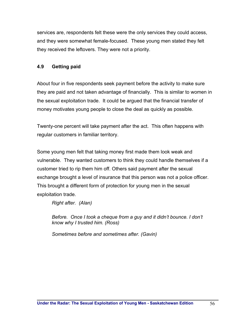services are, respondents felt these were the only services they could access, and they were somewhat female-focused. These young men stated they felt they received the leftovers. They were not a priority.

# **4.9 Getting paid**

About four in five respondents seek payment before the activity to make sure they are paid and not taken advantage of financially. This is similar to women in the sexual exploitation trade. It could be argued that the financial transfer of money motivates young people to close the deal as quickly as possible.

Twenty-one percent will take payment after the act. This often happens with regular customers in familiar territory.

Some young men felt that taking money first made them look weak and vulnerable. They wanted customers to think they could handle themselves if a customer tried to rip them him off. Others said payment after the sexual exchange brought a level of insurance that this person was not a police officer. This brought a different form of protection for young men in the sexual exploitation trade.

*Right after. (Alan)* 

*Before. Once I took a cheque from a guy and it didn't bounce. I don't know why I trusted him. (Ross)* 

*Sometimes before and sometimes after. (Gavin)*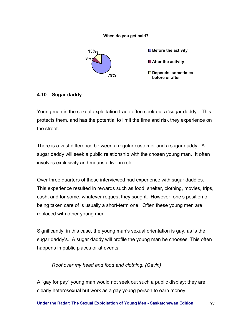#### **When do you get paid?**



## **4.10 Sugar daddy**

Young men in the sexual exploitation trade often seek out a 'sugar daddy'. This protects them, and has the potential to limit the time and risk they experience on the street.

There is a vast difference between a regular customer and a sugar daddy. A sugar daddy will seek a public relationship with the chosen young man. It often involves exclusivity and means a live-in role.

Over three quarters of those interviewed had experience with sugar daddies. This experience resulted in rewards such as food, shelter, clothing, movies, trips, cash, and for some, whatever request they sought. However, one's position of being taken care of is usually a short-term one. Often these young men are replaced with other young men.

Significantly, in this case, the young man's sexual orientation is gay, as is the sugar daddy's. A sugar daddy will profile the young man he chooses. This often happens in public places or at events.

## *Roof over my head and food and clothing. (Gavin)*

A "gay for pay" young man would not seek out such a public display; they are clearly heterosexual but work as a gay young person to earn money.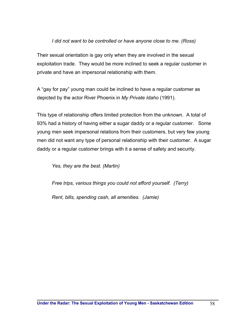## *I did not want to be controlled or have anyone close to me. (Ross)*

Their sexual orientation is gay only when they are involved in the sexual exploitation trade. They would be more inclined to seek a regular customer in private and have an impersonal relationship with them.

A "gay for pay" young man could be inclined to have a regular customer as depicted by the actor River Phoenix in *My Private Idaho* (1991).

This type of relationship offers limited protection from the unknown. A total of 93% had a history of having either a sugar daddy or a regular customer. Some young men seek impersonal relations from their customers, but very few young men did not want any type of personal relationship with their customer. A sugar daddy or a regular customer brings with it a sense of safety and security.

*Yes, they are the best. (Martin)* 

*Free trips, various things you could not afford yourself. (Terry)* 

*Rent, bills, spending cash, all amenities. (Jamie)*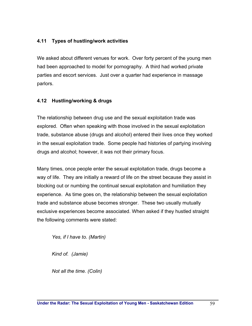# **4.11 Types of hustling/work activities**

We asked about different venues for work. Over forty percent of the young men had been approached to model for pornography. A third had worked private parties and escort services. Just over a quarter had experience in massage parlors.

## **4.12 Hustling/working & drugs**

The relationship between drug use and the sexual exploitation trade was explored. Often when speaking with those involved in the sexual exploitation trade, substance abuse (drugs and alcohol) entered their lives once they worked in the sexual exploitation trade. Some people had histories of partying involving drugs and alcohol; however, it was not their primary focus.

Many times, once people enter the sexual exploitation trade, drugs become a way of life. They are initially a reward of life on the street because they assist in blocking out or numbing the continual sexual exploitation and humiliation they experience. As time goes on, the relationship between the sexual exploitation trade and substance abuse becomes stronger. These two usually mutually exclusive experiences become associated. When asked if they hustled straight the following comments were stated:

*Yes, if I have to. (Martin)* 

*Kind of. (Jamie)* 

*Not all the time. (Colin)*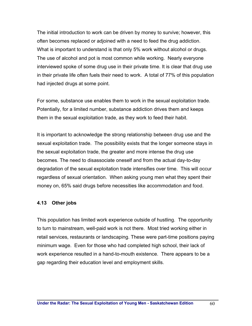The initial introduction to work can be driven by money to survive; however, this often becomes replaced or adjoined with a need to feed the drug addiction. What is important to understand is that only 5% work without alcohol or drugs. The use of alcohol and pot is most common while working. Nearly everyone interviewed spoke of some drug use in their private time. It is clear that drug use in their private life often fuels their need to work. A total of 77% of this population had injected drugs at some point.

For some, substance use enables them to work in the sexual exploitation trade. Potentially, for a limited number, substance addiction drives them and keeps them in the sexual exploitation trade, as they work to feed their habit.

It is important to acknowledge the strong relationship between drug use and the sexual exploitation trade. The possibility exists that the longer someone stays in the sexual exploitation trade, the greater and more intense the drug use becomes. The need to disassociate oneself and from the actual day-to-day degradation of the sexual exploitation trade intensifies over time. This will occur regardless of sexual orientation. When asking young men what they spent their money on, 65% said drugs before necessities like accommodation and food.

#### **4.13 Other jobs**

This population has limited work experience outside of hustling. The opportunity to turn to mainstream, well-paid work is not there. Most tried working either in retail services, restaurants or landscaping. These were part-time positions paying minimum wage. Even for those who had completed high school, their lack of work experience resulted in a hand-to-mouth existence. There appears to be a gap regarding their education level and employment skills.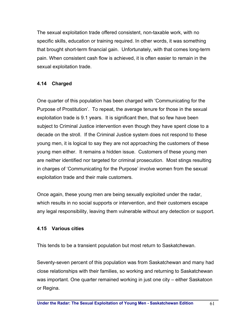The sexual exploitation trade offered consistent, non-taxable work, with no specific skills, education or training required. In other words, it was something that brought short-term financial gain. Unfortunately, with that comes long-term pain. When consistent cash flow is achieved, it is often easier to remain in the sexual exploitation trade.

# **4.14 Charged**

One quarter of this population has been charged with 'Communicating for the Purpose of Prostitution'. To repeat, the average tenure for those in the sexual exploitation trade is 9.1 years. It is significant then, that so few have been subject to Criminal Justice intervention even though they have spent close to a decade on the stroll. If the Criminal Justice system does not respond to these young men, it is logical to say they are not approaching the customers of these young men either. It remains a hidden issue. Customers of these young men are neither identified nor targeted for criminal prosecution. Most stings resulting in charges of 'Communicating for the Purpose' involve women from the sexual exploitation trade and their male customers.

Once again, these young men are being sexually exploited under the radar, which results in no social supports or intervention, and their customers escape any legal responsibility, leaving them vulnerable without any detection or support.

## **4.15 Various cities**

This tends to be a transient population but most return to Saskatchewan.

Seventy-seven percent of this population was from Saskatchewan and many had close relationships with their families, so working and returning to Saskatchewan was important. One quarter remained working in just one city – either Saskatoon or Regina.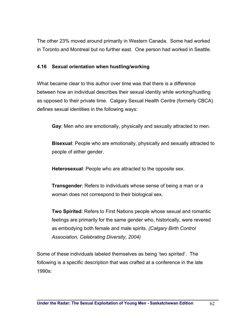The other 23% moved around primarily in Western Canada. Some had worked in Toronto and Montreal but no further east. One person had worked in Seattle.

#### **4.16 Sexual orientation when hustling/working**

What became clear to this author over time was that there is a difference between how an individual describes their sexual identity while working/hustling as opposed to their private time. Calgary Sexual Health Centre (formerly CBCA) defines sexual identities in the following ways:

**Gay**: Men who are emotionally, physically and sexually attracted to men.

**Bisexual**: People who are emotionally, physically and sexually attracted to people of either gender.

**Heterosexual**: People who are attracted to the opposite sex.

**Transgender**: Refers to individuals whose sense of being a man or a woman does not correspond to their biological sex.

**Two Spirited**: Refers to First Nations people whose sexual and romantic feelings are primarily for the same gender who, historically, were revered as embodying both female and male spirits. *(Calgary Birth Control Association, Celebrating Diversity, 2004)* 

Some of these individuals labeled themselves as being 'two spirited'. The following is a specific description that was crafted at a conference in the late 1990s: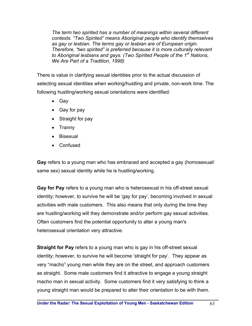*The term two spirited has a number of meanings within several different contexts. "Two Spirited" means Aboriginal people who identify themselves as gay or lesbian. The terms gay or lesbian are of European origin. Therefore, "two spirited" is preferred because it is more culturally relevant to Aboriginal lesbians and gays. (Two Spirited People of the 1st Nations, We Are Part of a Tradition, 1998)* 

There is value in clarifying sexual identities prior to the actual discussion of selecting sexual identities when working/hustling and private, non-work time. The following hustling/working sexual orientations were identified:

- Gay
- Gay for pay
- Straight for pay
- Tranny
- Bisexual
- Confused

**Gay** refers to a young man who has embraced and accepted a gay (homosexual/ same sex) sexual identity while he is hustling/working.

**Gay for Pay** refers to a young man who is heterosexual in his off-street sexual identity; however, to survive he will be 'gay for pay', becoming involved in sexual activities with male customers. This also means that only during the time they are hustling/working will they demonstrate and/or perform gay sexual activities. Often customers find the potential opportunity to alter a young man's heterosexual orientation very attractive.

**Straight for Pay** refers to a young man who is gay in his off-street sexual identity; however, to survive he will become 'straight for pay'. They appear as very "macho" young men while they are on the street, and approach customers as straight. Some male customers find it attractive to engage a young straight macho man in sexual activity. Some customers find it very satisfying to think a young straight man would be prepared to alter their orientation to be with them.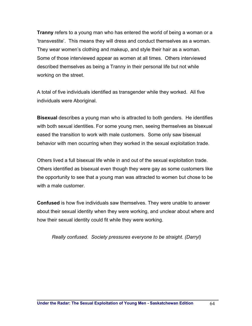**Tranny** refers to a young man who has entered the world of being a woman or a 'transvestite'. This means they will dress and conduct themselves as a woman. They wear women's clothing and makeup, and style their hair as a woman. Some of those interviewed appear as women at all times. Others interviewed described themselves as being a Tranny in their personal life but not while working on the street.

A total of five individuals identified as transgender while they worked. All five individuals were Aboriginal.

**Bisexual** describes a young man who is attracted to both genders. He identifies with both sexual identities. For some young men, seeing themselves as bisexual eased the transition to work with male customers. Some only saw bisexual behavior with men occurring when they worked in the sexual exploitation trade.

Others lived a full bisexual life while in and out of the sexual exploitation trade. Others identified as bisexual even though they were gay as some customers like the opportunity to see that a young man was attracted to women but chose to be with a male customer.

**Confused** is how five individuals saw themselves. They were unable to answer about their sexual identity when they were working, and unclear about where and how their sexual identity could fit while they were working.

*Really confused. Society pressures everyone to be straight. (Darryl)*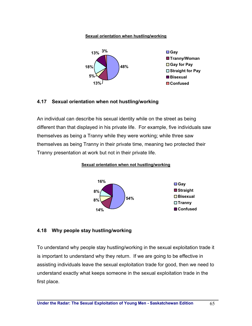#### **Sexual orientation when hustling/working**



#### **4.17 Sexual orientation when not hustling/working**

An individual can describe his sexual identity while on the street as being different than that displayed in his private life. For example, five individuals saw themselves as being a Tranny while they were working; while three saw themselves as being Tranny in their private time, meaning two protected their Tranny presentation at work but not in their private life.

**Sexual orientation when not hustling/working**



#### **4.18 Why people stay hustling/working**

To understand why people stay hustling/working in the sexual exploitation trade it is important to understand why they return. If we are going to be effective in assisting individuals leave the sexual exploitation trade for good, then we need to understand exactly what keeps someone in the sexual exploitation trade in the first place.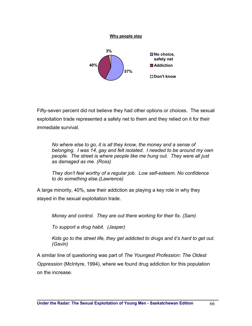

Fifty-seven percent did not believe they had other options or choices. The sexual exploitation trade represented a safety net to them and they relied on it for their immediate survival.

*No where else to go, it is all they know, the money and a sense of belonging. I was 14, gay and felt isolated. I needed to be around my own people. The street is where people like me hung out. They were all just as damaged as me. (Ross)* 

*They don't feel worthy of a regular job. Low self-esteem. No confidence to do something else.(Lawrence)* 

A large minority, 40%, saw their addiction as playing a key role in why they stayed in the sexual exploitation trade.

*Money and control. They are out there working for their fix. (Sam)* 

*To support a drug habit. (Jasper)* 

*Kids go to the street life, they get addicted to drugs and it's hard to get out. (Gavin)* 

A similar line of questioning was part of *The Youngest Profession: The Oldest Oppression* (McIntyre, 1994), where we found drug addiction for this population on the increase.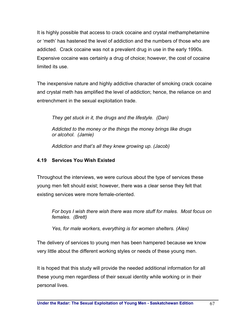It is highly possible that access to crack cocaine and crystal methamphetamine or 'meth' has hastened the level of addiction and the numbers of those who are addicted. Crack cocaine was not a prevalent drug in use in the early 1990s. Expensive cocaine was certainly a drug of choice; however, the cost of cocaine limited its use.

The inexpensive nature and highly addictive character of smoking crack cocaine and crystal meth has amplified the level of addiction; hence, the reliance on and entrenchment in the sexual exploitation trade.

*They get stuck in it, the drugs and the lifestyle. (Dan)* 

*Addicted to the money or the things the money brings like drugs or alcohol. (Jamie)* 

*Addiction and that's all they knew growing up. (Jacob)* 

## **4.19 Services You Wish Existed**

Throughout the interviews, we were curious about the type of services these young men felt should exist; however, there was a clear sense they felt that existing services were more female-oriented.

*For boys I wish there wish there was more stuff for males. Most focus on females. (Brett)* 

*Yes, for male workers, everything is for women shelters. (Alex)* 

The delivery of services to young men has been hampered because we know very little about the different working styles or needs of these young men.

It is hoped that this study will provide the needed additional information for all these young men regardless of their sexual identity while working or in their personal lives.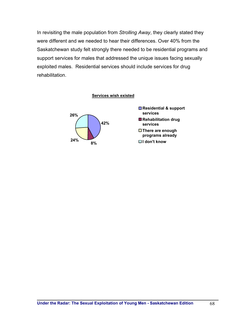In revisiting the male population from *Strolling Away*, they clearly stated they were different and we needed to hear their differences. Over 40% from the Saskatchewan study felt strongly there needed to be residential programs and support services for males that addressed the unique issues facing sexually exploited males. Residential services should include services for drug rehabilitation.

#### **Services wish existed**

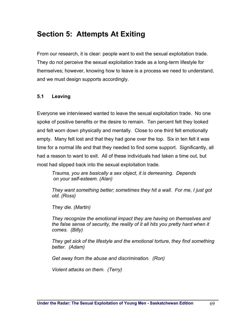# **Section 5: Attempts At Exiting**

From our research, it is clear: people want to exit the sexual exploitation trade. They do not perceive the sexual exploitation trade as a long-term lifestyle for themselves; however, knowing how to leave is a process we need to understand, and we must design supports accordingly.

#### **5.1 Leaving**

Everyone we interviewed wanted to leave the sexual exploitation trade. No one spoke of positive benefits or the desire to remain. Ten percent felt they looked and felt worn down physically and mentally. Close to one third felt emotionally empty. Many felt lost and that they had gone over the top. Six in ten felt it was time for a normal life and that they needed to find some support. Significantly, all had a reason to want to exit. All of these individuals had taken a time out, but most had slipped back into the sexual exploitation trade.

*Trauma, you are basically a sex object, it is demeaning. Depends on your self-esteem. (Alan)* 

*They want something better; sometimes they hit a wall. For me, I just got old. (Ross)* 

*They die. (Martin)* 

*They recognize the emotional impact they are having on themselves and the false sense of security, the reality of it all hits you pretty hard when it comes. (Billy)* 

*They get sick of the lifestyle and the emotional torture, they find something better. (Adam)* 

*Get away from the abuse and discrimination. (Ron)* 

*Violent attacks on them. (Terry)*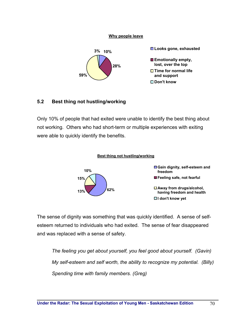#### **Why people leave**



#### **5.2 Best thing not hustling/working**

Only 10% of people that had exited were unable to identify the best thing about not working. Others who had short-term or multiple experiences with exiting were able to quickly identify the benefits.



The sense of dignity was something that was quickly identified. A sense of selfesteem returned to individuals who had exited. The sense of fear disappeared and was replaced with a sense of safety.

*The feeling you get about yourself, you feel good about yourself. (Gavin) My self-esteem and self worth, the ability to recognize my potential. (Billy) Spending time with family members. (Greg)*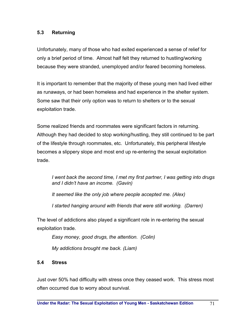## **5.3 Returning**

Unfortunately, many of those who had exited experienced a sense of relief for only a brief period of time. Almost half felt they returned to hustling/working because they were stranded, unemployed and/or feared becoming homeless.

It is important to remember that the majority of these young men had lived either as runaways, or had been homeless and had experience in the shelter system. Some saw that their only option was to return to shelters or to the sexual exploitation trade.

Some realized friends and roommates were significant factors in returning. Although they had decided to stop working/hustling, they still continued to be part of the lifestyle through roommates, etc. Unfortunately, this peripheral lifestyle becomes a slippery slope and most end up re-entering the sexual exploitation trade.

*I went back the second time, I met my first partner, I was getting into drugs and I didn't have an income. (Gavin)* 

*It seemed like the only job where people accepted me. (Alex)* 

*I started hanging around with friends that were still working. (Darren)* 

The level of addictions also played a significant role in re-entering the sexual exploitation trade.

*Easy money, good drugs, the attention. (Colin) My addictions brought me back. (Liam)* 

# **5.4 Stress**

Just over 50% had difficulty with stress once they ceased work. This stress most often occurred due to worry about survival.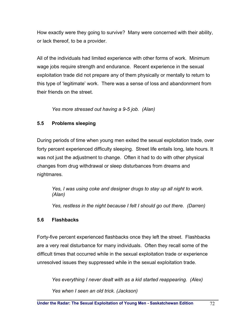How exactly were they going to survive? Many were concerned with their ability, or lack thereof, to be a provider.

All of the individuals had limited experience with other forms of work. Minimum wage jobs require strength and endurance. Recent experience in the sexual exploitation trade did not prepare any of them physically or mentally to return to this type of 'legitimate' work. There was a sense of loss and abandonment from their friends on the street.

*Yes more stressed out having a 9-5 job. (Alan)* 

# **5.5 Problems sleeping**

During periods of time when young men exited the sexual exploitation trade, over forty percent experienced difficulty sleeping. Street life entails long, late hours. It was not just the adjustment to change. Often it had to do with other physical changes from drug withdrawal or sleep disturbances from dreams and nightmares.

*Yes, I was using coke and designer drugs to stay up all night to work. (Alan)* 

*Yes, restless in the night because I felt I should go out there. (Darren)* 

# **5.6 Flashbacks**

Forty-five percent experienced flashbacks once they left the street. Flashbacks are a very real disturbance for many individuals. Often they recall some of the difficult times that occurred while in the sexual exploitation trade or experience unresolved issues they suppressed while in the sexual exploitation trade.

*Yes everything I never dealt with as a kid started reappearing. (Alex) Yes when I seen an old trick. (Jackson)*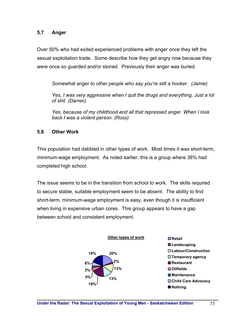# **5.7 Anger**

Over 50% who had exited experienced problems with anger once they left the sexual exploitation trade. Some describe how they get angry now because they were once so guarded and/or stoned. Previously their anger was buried.

*Somewhat anger to other people who say you're still a hooker. (Jamie)* 

*Yes, I was very aggressive when I quit the drugs and everything. Just a lot of shit. (Darren)* 

*Yes, because of my childhood and all that repressed anger. When I look back I was a violent person. (Ross)* 

# **5.8 Other Work**

This population had dabbled in other types of work. Most times it was short-term, minimum-wage employment. As noted earlier, this is a group where 38% had completed high school.

The issue seems to be in the transition from school to work. The skills required to secure stable, suitable employment seem to be absent. The ability to find short-term, minimum-wage employment is easy, even though it is insufficient when living in expensive urban cores. This group appears to have a gap between school and consistent employment.

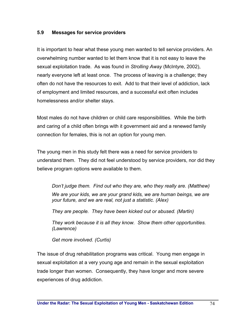# **5.9 Messages for service providers**

It is important to hear what these young men wanted to tell service providers. An overwhelming number wanted to let them know that it is not easy to leave the sexual exploitation trade. As was found in *Strolling Away* (McIntyre, 2002), nearly everyone left at least once. The process of leaving is a challenge; they often do not have the resources to exit. Add to that their level of addiction, lack of employment and limited resources, and a successful exit often includes homelessness and/or shelter stays.

Most males do not have children or child care responsibilities. While the birth and caring of a child often brings with it government aid and a renewed family connection for females, this is not an option for young men.

The young men in this study felt there was a need for service providers to understand them. They did not feel understood by service providers, nor did they believe program options were available to them.

*Don't judge them. Find out who they are, who they really are. (Matthew) We are your kids, we are your grand kids, we are human beings, we are your future, and we are real, not just a statistic. (Alex)* 

*They are people. They have been kicked out or abused. (Martin)* 

*They work because it is all they know. Show them other opportunities. (Lawrence)* 

*Get more involved. (Curtis)* 

The issue of drug rehabilitation programs was critical. Young men engage in sexual exploitation at a very young age and remain in the sexual exploitation trade longer than women. Consequently, they have longer and more severe experiences of drug addiction.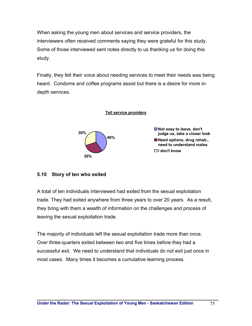When asking the young men about services and service providers, the interviewers often received comments saying they were grateful for this study. Some of those interviewed sent notes directly to us thanking us for doing this study.

Finally, they felt their voice about needing services to meet their needs was being heard. Condoms and coffee programs assist but there is a desire for more indepth services.



# **5.10 Story of ten who exited**

A total of ten individuals interviewed had exited from the sexual exploitation trade. They had exited anywhere from three years to over 20 years. As a result, they bring with them a wealth of information on the challenges and process of leaving the sexual exploitation trade.

The majority of individuals left the sexual exploitation trade more than once. Over three-quarters exited between two and five times before they had a successful exit. We need to understand that individuals do not exit just once in most cases. Many times it becomes a cumulative learning process.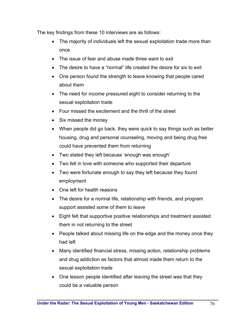The key findings from these 10 interviews are as follows:

- The majority of individuals left the sexual exploitation trade more than once
- The issue of fear and abuse made three want to exit
- The desire to have a "normal" life created the desire for six to exit
- One person found the strength to leave knowing that people cared about them
- The need for income pressured eight to consider returning to the sexual exploitation trade
- Four missed the excitement and the thrill of the street
- Six missed the money
- When people did go back, they were quick to say things such as better housing, drug and personal counseling, moving and being drug free could have prevented them from returning
- Two stated they left because 'enough was enough'
- Two fell in love with someone who supported their departure
- Two were fortunate enough to say they left because they found employment
- One left for health reasons
- The desire for a normal life, relationship with friends, and program support assisted some of them to leave
- Eight felt that supportive positive relationships and treatment assisted them in not returning to the street
- People talked about missing life on the edge and the money once they had left
- Many identified financial stress, missing action, relationship problems and drug addiction as factors that almost made them return to the sexual exploitation trade
- One lesson people identified after leaving the street was that they could be a valuable person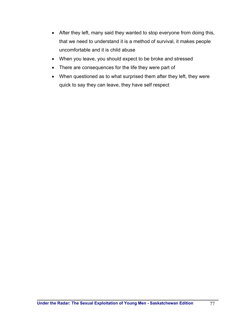- After they left, many said they wanted to stop everyone from doing this, that we need to understand it is a method of survival, it makes people uncomfortable and it is child abuse
- When you leave, you should expect to be broke and stressed
- There are consequences for the life they were part of
- When questioned as to what surprised them after they left, they were quick to say they can leave, they have self respect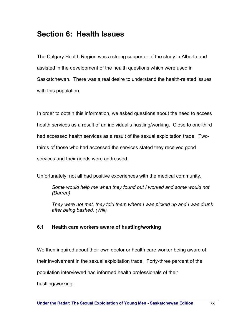# **Section 6: Health Issues**

The Calgary Health Region was a strong supporter of the study in Alberta and assisted in the development of the health questions which were used in Saskatchewan. There was a real desire to understand the health-related issues with this population.

In order to obtain this information, we asked questions about the need to access health services as a result of an individual's hustling/working. Close to one-third had accessed health services as a result of the sexual exploitation trade. Twothirds of those who had accessed the services stated they received good services and their needs were addressed.

Unfortunately, not all had positive experiences with the medical community.

*Some would help me when they found out I worked and some would not. (Darren)* 

*They were not met, they told them where I was picked up and I was drunk after being bashed. (Will)* 

## **6.1 Health care workers aware of hustling/working**

We then inquired about their own doctor or health care worker being aware of their involvement in the sexual exploitation trade. Forty-three percent of the population interviewed had informed health professionals of their hustling/working.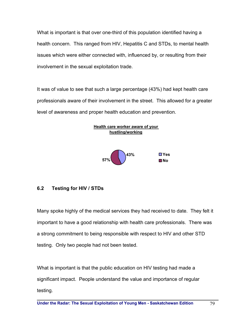What is important is that over one-third of this population identified having a health concern. This ranged from HIV, Hepatitis C and STDs, to mental health issues which were either connected with, influenced by, or resulting from their involvement in the sexual exploitation trade.

It was of value to see that such a large percentage (43%) had kept health care professionals aware of their involvement in the street. This allowed for a greater level of awareness and proper health education and prevention.



# **6.2 Testing for HIV / STDs**

Many spoke highly of the medical services they had received to date. They felt it important to have a good relationship with health care professionals. There was a strong commitment to being responsible with respect to HIV and other STD testing. Only two people had not been tested.

What is important is that the public education on HIV testing had made a significant impact. People understand the value and importance of regular testing.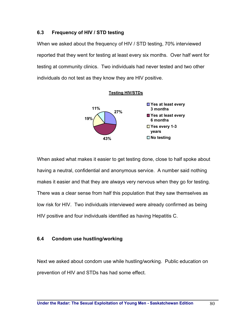# **6.3 Frequency of HIV / STD testing**

When we asked about the frequency of HIV / STD testing, 70% interviewed reported that they went for testing at least every six months. Over half went for testing at community clinics. Two individuals had never tested and two other individuals do not test as they know they are HIV positive.



When asked what makes it easier to get testing done, close to half spoke about having a neutral, confidential and anonymous service. A number said nothing makes it easier and that they are always very nervous when they go for testing. There was a clear sense from half this population that they saw themselves as low risk for HIV. Two individuals interviewed were already confirmed as being HIV positive and four individuals identified as having Hepatitis C.

# **6.4 Condom use hustling/working**

Next we asked about condom use while hustling/working. Public education on prevention of HIV and STDs has had some effect.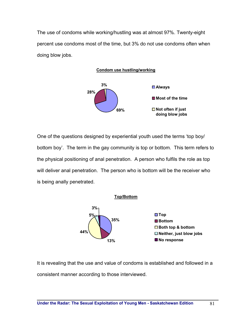The use of condoms while working/hustling was at almost 97%. Twenty-eight percent use condoms most of the time, but 3% do not use condoms often when doing blow jobs.





One of the questions designed by experiential youth used the terms 'top boy/ bottom boy'. The term in the gay community is top or bottom. This term refers to the physical positioning of anal penetration. A person who fulfils the role as top will deliver anal penetration. The person who is bottom will be the receiver who is being anally penetrated.



It is revealing that the use and value of condoms is established and followed in a consistent manner according to those interviewed.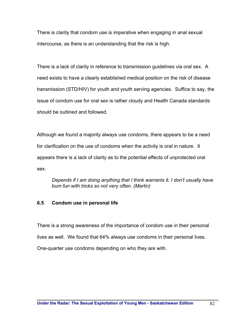There is clarity that condom use is imperative when engaging in anal sexual intercourse, as there is an understanding that the risk is high.

There is a lack of clarity in reference to transmission guidelines via oral sex. A need exists to have a clearly established medical position on the risk of disease transmission (STD/HIV) for youth and youth serving agencies. Suffice to say, the issue of condom use for oral sex is rather cloudy and Health Canada standards should be outlined and followed.

Although we found a majority always use condoms, there appears to be a need for clarification on the use of condoms when the activity is oral in nature. It appears there is a lack of clarity as to the potential effects of unprotected oral sex.

*Depends if I am doing anything that I think warrants it, I don't usually have bum fun with tricks so not very often. (Martin)* 

## **6.5 Condom use in personal life**

There is a strong awareness of the importance of condom use in their personal lives as well. We found that 64% always use condoms in their personal lives. One-quarter use condoms depending on who they are with.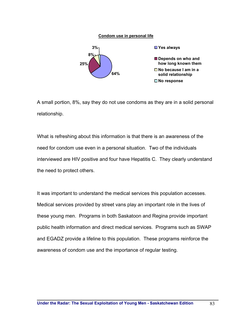#### **Condom use in personal life**



A small portion, 8%, say they do not use condoms as they are in a solid personal relationship.

What is refreshing about this information is that there is an awareness of the need for condom use even in a personal situation. Two of the individuals interviewed are HIV positive and four have Hepatitis C. They clearly understand the need to protect others.

It was important to understand the medical services this population accesses. Medical services provided by street vans play an important role in the lives of these young men. Programs in both Saskatoon and Regina provide important public health information and direct medical services. Programs such as SWAP and EGADZ provide a lifeline to this population. These programs reinforce the awareness of condom use and the importance of regular testing.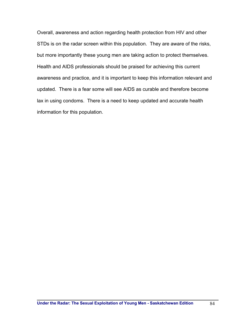Overall, awareness and action regarding health protection from HIV and other STDs is on the radar screen within this population. They are aware of the risks, but more importantly these young men are taking action to protect themselves. Health and AIDS professionals should be praised for achieving this current awareness and practice, and it is important to keep this information relevant and updated. There is a fear some will see AIDS as curable and therefore become lax in using condoms. There is a need to keep updated and accurate health information for this population.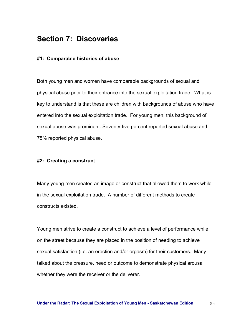# **Section 7: Discoveries**

#### **#1: Comparable histories of abuse**

Both young men and women have comparable backgrounds of sexual and physical abuse prior to their entrance into the sexual exploitation trade. What is key to understand is that these are children with backgrounds of abuse who have entered into the sexual exploitation trade. For young men, this background of sexual abuse was prominent. Seventy-five percent reported sexual abuse and 75% reported physical abuse.

#### **#2: Creating a construct**

Many young men created an image or construct that allowed them to work while in the sexual exploitation trade. A number of different methods to create constructs existed.

Young men strive to create a construct to achieve a level of performance while on the street because they are placed in the position of needing to achieve sexual satisfaction (i.e. an erection and/or orgasm) for their customers. Many talked about the pressure, need or outcome to demonstrate physical arousal whether they were the receiver or the deliverer.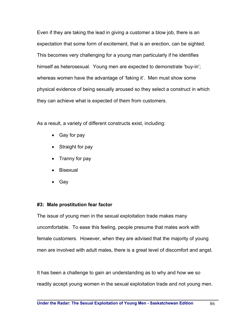Even if they are taking the lead in giving a customer a blow job, there is an expectation that some form of excitement, that is an erection, can be sighted. This becomes very challenging for a young man particularly if he identifies himself as heterosexual. Young men are expected to demonstrate 'buy-in'; whereas women have the advantage of 'faking it'. Men must show some physical evidence of being sexually aroused so they select a construct in which they can achieve what is expected of them from customers.

As a result, a variety of different constructs exist, including:

- Gay for pay
- Straight for pay
- Tranny for pay
- Bisexual
- Gay

#### **#3: Male prostitution fear factor**

The issue of young men in the sexual exploitation trade makes many uncomfortable. To ease this feeling, people presume that males work with female customers. However, when they are advised that the majority of young men are involved with adult males, there is a great level of discomfort and angst.

It has been a challenge to gain an understanding as to why and how we so readily accept young women in the sexual exploitation trade and not young men.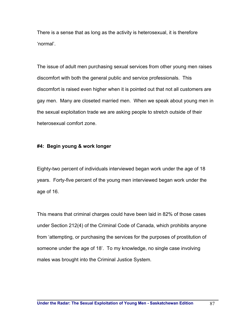There is a sense that as long as the activity is heterosexual, it is therefore 'normal'.

The issue of adult men purchasing sexual services from other young men raises discomfort with both the general public and service professionals. This discomfort is raised even higher when it is pointed out that not all customers are gay men. Many are closeted married men. When we speak about young men in the sexual exploitation trade we are asking people to stretch outside of their heterosexual comfort zone.

#### **#4: Begin young & work longer**

Eighty-two percent of individuals interviewed began work under the age of 18 years. Forty-five percent of the young men interviewed began work under the age of 16.

This means that criminal charges could have been laid in 82% of those cases under Section 212(4) of the Criminal Code of Canada, which prohibits anyone from 'attempting, or purchasing the services for the purposes of prostitution of someone under the age of 18'. To my knowledge, no single case involving males was brought into the Criminal Justice System.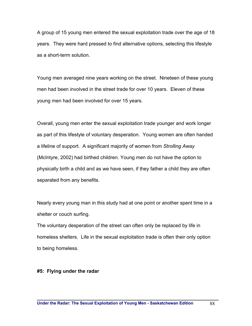A group of 15 young men entered the sexual exploitation trade over the age of 18 years. They were hard pressed to find alternative options, selecting this lifestyle as a short-term solution.

Young men averaged nine years working on the street. Nineteen of these young men had been involved in the street trade for over 10 years. Eleven of these young men had been involved for over 15 years.

Overall, young men enter the sexual exploitation trade younger and work longer as part of this lifestyle of voluntary desperation. Young women are often handed a lifeline of support. A significant majority of women from *Strolling Away* (McIntyre, 2002) had birthed children. Young men do not have the option to physically birth a child and as we have seen, if they father a child they are often separated from any benefits.

Nearly every young man in this study had at one point or another spent time in a shelter or couch surfing.

The voluntary desperation of the street can often only be replaced by life in homeless shelters. Life in the sexual exploitation trade is often their only option to being homeless.

#### **#5: Flying under the radar**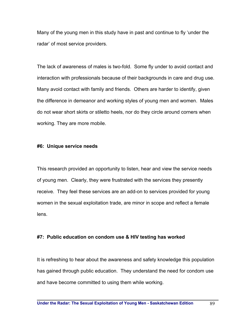Many of the young men in this study have in past and continue to fly 'under the radar' of most service providers.

The lack of awareness of males is two-fold. Some fly under to avoid contact and interaction with professionals because of their backgrounds in care and drug use. Many avoid contact with family and friends. Others are harder to identify, given the difference in demeanor and working styles of young men and women. Males do not wear short skirts or stiletto heels, nor do they circle around corners when working. They are more mobile.

#### **#6: Unique service needs**

This research provided an opportunity to listen, hear and view the service needs of young men. Clearly, they were frustrated with the services they presently receive. They feel these services are an add-on to services provided for young women in the sexual exploitation trade, are minor in scope and reflect a female lens.

#### **#7: Public education on condom use & HIV testing has worked**

It is refreshing to hear about the awareness and safety knowledge this population has gained through public education. They understand the need for condom use and have become committed to using them while working.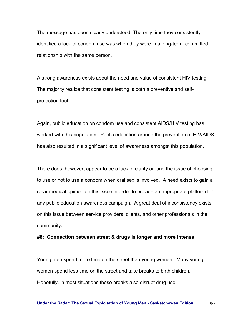The message has been clearly understood. The only time they consistently identified a lack of condom use was when they were in a long-term, committed relationship with the same person.

A strong awareness exists about the need and value of consistent HIV testing. The majority realize that consistent testing is both a preventive and selfprotection tool.

Again, public education on condom use and consistent AIDS/HIV testing has worked with this population. Public education around the prevention of HIV/AIDS has also resulted in a significant level of awareness amongst this population.

There does, however, appear to be a lack of clarity around the issue of choosing to use or not to use a condom when oral sex is involved. A need exists to gain a clear medical opinion on this issue in order to provide an appropriate platform for any public education awareness campaign. A great deal of inconsistency exists on this issue between service providers, clients, and other professionals in the community.

#### **#8: Connection between street & drugs is longer and more intense**

Young men spend more time on the street than young women. Many young women spend less time on the street and take breaks to birth children. Hopefully, in most situations these breaks also disrupt drug use.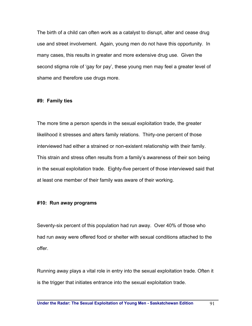The birth of a child can often work as a catalyst to disrupt, alter and cease drug use and street involvement. Again, young men do not have this opportunity. In many cases, this results in greater and more extensive drug use. Given the second stigma role of 'gay for pay', these young men may feel a greater level of shame and therefore use drugs more.

#### **#9: Family ties**

The more time a person spends in the sexual exploitation trade, the greater likelihood it stresses and alters family relations. Thirty-one percent of those interviewed had either a strained or non-existent relationship with their family. This strain and stress often results from a family's awareness of their son being in the sexual exploitation trade. Eighty-five percent of those interviewed said that at least one member of their family was aware of their working.

#### **#10: Run away programs**

Seventy-six percent of this population had run away. Over 40% of those who had run away were offered food or shelter with sexual conditions attached to the offer.

Running away plays a vital role in entry into the sexual exploitation trade. Often it is the trigger that initiates entrance into the sexual exploitation trade.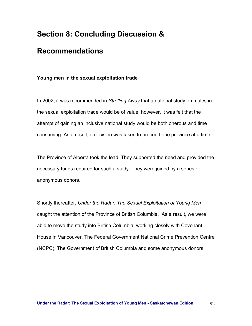# **Section 8: Concluding Discussion &**

# **Recommendations**

# **Young men in the sexual exploitation trade**

In 2002, it was recommended in *Strolling Away* that a national study on males in the sexual exploitation trade would be of value; however, it was felt that the attempt of gaining an inclusive national study would be both onerous and time consuming. As a result, a decision was taken to proceed one province at a time.

The Province of Alberta took the lead. They supported the need and provided the necessary funds required for such a study. They were joined by a series of anonymous donors.

Shortly thereafter, *Under the Radar: The Sexual Exploitation of Young Men* caught the attention of the Province of British Columbia. As a result, we were able to move the study into British Columbia, working closely with Covenant House in Vancouver, The Federal Government National Crime Prevention Centre (NCPC), The Government of British Columbia and some anonymous donors.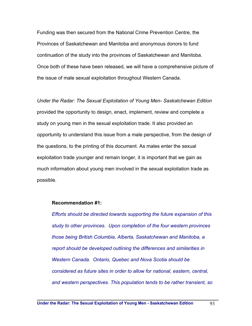Funding was then secured from the National Crime Prevention Centre, the Provinces of Saskatchewan and Manitoba and anonymous donors to fund continuation of the study into the provinces of Saskatchewan and Manitoba. Once both of these have been released, we will have a comprehensive picture of the issue of male sexual exploitation throughout Western Canada.

*Under the Radar: The Sexual Exploitation of Young Men- Saskatchewan Edition*  provided the opportunity to design, enact, implement, review and complete a study on young men in the sexual exploitation trade. It also provided an opportunity to understand this issue from a male perspective, from the design of the questions, to the printing of this document. As males enter the sexual exploitation trade younger and remain longer, it is important that we gain as much information about young men involved in the sexual exploitation trade as possible.

#### **Recommendation #1:**

*Efforts should be directed towards supporting the future expansion of this study to other provinces. Upon completion of the four western provinces those being British Columbia, Alberta, Saskatchewan and Manitoba, a report should be developed outlining the differences and similarities in Western Canada. Ontario, Quebec and Nova Scotia should be considered as future sites in order to allow for national, eastern, central, and western perspectives. This population tends to be rather transient, so*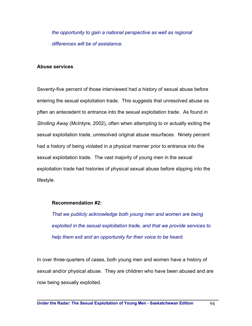*the opportunity to gain a national perspective as well as regional differences will be of assistance.* 

#### **Abuse services**

Seventy-five percent of those interviewed had a history of sexual abuse before entering the sexual exploitation trade. This suggests that unresolved abuse os pften an antecedent to entrance into the sexual exploitation trade. As found in *Strolling Away* (McIntyre, 2002), often when attempting to or actually exiting the sexual exploitation trade, unresolved original abuse resurfaces. Ninety percent had a history of being violated in a physical manner prior to entrance into the sexual exploitation trade. The vast majority of young men in the sexual exploitation trade had histories of physical sexual abuse before slipping into the lifestyle.

#### **Recommendation #2:**

*That we publicly acknowledge both young men and women are being exploited in the sexual exploitation trade, and that we provide services to help them exit and an opportunity for their voice to be heard.* 

In over three-quarters of cases, both young men and women have a history of sexual and/or physical abuse. They are children who have been abused and are now being sexually exploited.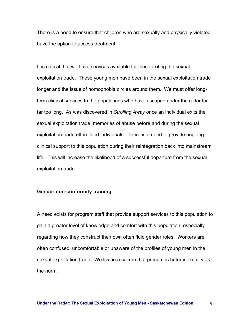There is a need to ensure that children who are sexually and physically violated have the option to access treatment.

It is critical that we have services available for those exiting the sexual exploitation trade. These young men have been in the sexual exploitation trade longer and the issue of homophobia circles around them. We must offer longterm clinical services to the populations who have escaped under the radar for far too long. As was discovered in *Strolling Away* once an individual exits the sexual exploitation trade, memories of abuse before and during the sexual exploitation trade often flood individuals. There is a need to provide ongoing clinical support to this population during their reintegration back into mainstream life. This will increase the likelihood of a successful departure from the sexual exploitation trade.

#### **Gender non-conformity training**

A need exists for program staff that provide support services to this population to gain a greater level of knowledge and comfort with this population, especially regarding how they construct their own often fluid gender roles. Workers are often confused, uncomfortable or unaware of the profiles of young men in the sexual exploitation trade. We live in a culture that presumes heterosexuality as the norm.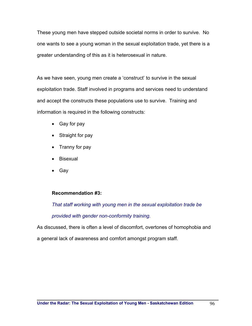These young men have stepped outside societal norms in order to survive. No one wants to see a young woman in the sexual exploitation trade, yet there is a greater understanding of this as it is heterosexual in nature.

As we have seen, young men create a 'construct' to survive in the sexual exploitation trade. Staff involved in programs and services need to understand and accept the constructs these populations use to survive. Training and information is required in the following constructs:

- Gay for pay
- Straight for pay
- Tranny for pay
- Bisexual
- Gay

# **Recommendation #3:**

*That staff working with young men in the sexual exploitation trade be* 

*provided with gender non-conformity training.* 

As discussed, there is often a level of discomfort, overtones of homophobia and

a general lack of awareness and comfort amongst program staff.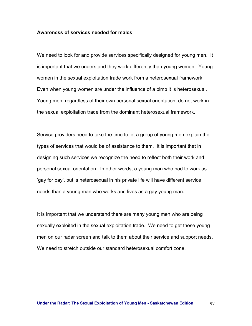#### **Awareness of services needed for males**

We need to look for and provide services specifically designed for young men. It is important that we understand they work differently than young women. Young women in the sexual exploitation trade work from a heterosexual framework. Even when young women are under the influence of a pimp it is heterosexual. Young men, regardless of their own personal sexual orientation, do not work in the sexual exploitation trade from the dominant heterosexual framework.

Service providers need to take the time to let a group of young men explain the types of services that would be of assistance to them. It is important that in designing such services we recognize the need to reflect both their work and personal sexual orientation. In other words, a young man who had to work as 'gay for pay', but is heterosexual in his private life will have different service needs than a young man who works and lives as a gay young man.

It is important that we understand there are many young men who are being sexually exploited in the sexual exploitation trade. We need to get these young men on our radar screen and talk to them about their service and support needs. We need to stretch outside our standard heterosexual comfort zone.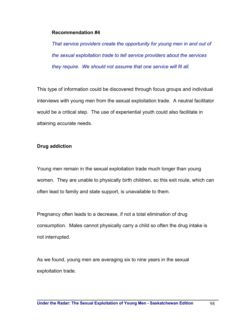#### **Recommendation #4**

*That service providers create the opportunity for young men in and out of the sexual exploitation trade to tell service providers about the services they require. We should not assume that one service will fit all.* 

This type of information could be discovered through focus groups and individual interviews with young men from the sexual exploitation trade. A neutral facilitator would be a critical step. The use of experiential youth could also facilitate in attaining accurate needs.

#### **Drug addiction**

Young men remain in the sexual exploitation trade much longer than young women. They are unable to physically birth children, so this exit route, which can often lead to family and state support, is unavailable to them.

Pregnancy often leads to a decrease, if not a total elimination of drug consumption. Males cannot physically carry a child so often the drug intake is not interrupted.

As we found, young men are averaging six to nine years in the sexual exploitation trade.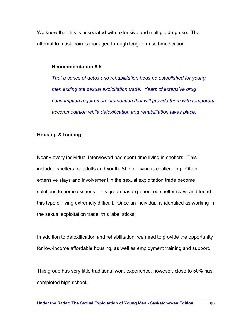We know that this is associated with extensive and multiple drug use. The attempt to mask pain is managed through long-term self-medication.

#### **Recommendation # 5**

*That a series of detox and rehabilitation beds be established for young men exiting the sexual exploitation trade. Years of extensive drug consumption requires an intervention that will provide them with temporary accommodation while detoxification and rehabilitation takes place.* 

# **Housing & training**

Nearly every individual interviewed had spent time living in shelters. This included shelters for adults and youth. Shelter living is challenging. Often extensive stays and involvement in the sexual exploitation trade become solutions to homelessness. This group has experienced shelter stays and found this type of living extremely difficult. Once an individual is identified as working in the sexual exploitation trade, this label sticks.

In addition to detoxification and rehabilitation, we need to provide the opportunity for low-income affordable housing, as well as employment training and support.

This group has very little traditional work experience, however, close to 50% has completed high school.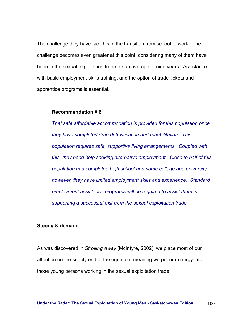The challenge they have faced is in the transition from school to work. The challenge becomes even greater at this point, considering many of them have been in the sexual exploitation trade for an average of nine years. Assistance with basic employment skills training, and the option of trade tickets and apprentice programs is essential.

#### **Recommendation # 6**

*That safe affordable accommodation is provided for this population once they have completed drug detoxification and rehabilitation. This population requires safe, supportive living arrangements. Coupled with this, they need help seeking alternative employment. Close to half of this population had completed high school and some college and university; however, they have limited employment skills and experience. Standard employment assistance programs will be required to assist them in supporting a successful exit from the sexual exploitation trade.* 

#### **Supply & demand**

As was discovered in *Strolling Away* (McIntyre, 2002), we place most of our attention on the supply end of the equation, meaning we put our energy into those young persons working in the sexual exploitation trade.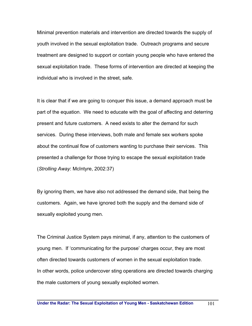Minimal prevention materials and intervention are directed towards the supply of youth involved in the sexual exploitation trade. Outreach programs and secure treatment are designed to support or contain young people who have entered the sexual exploitation trade. These forms of intervention are directed at keeping the individual who is involved in the street, safe.

It is clear that if we are going to conquer this issue, a demand approach must be part of the equation. We need to educate with the goal of affecting and deterring present and future customers. A need exists to alter the demand for such services. During these interviews, both male and female sex workers spoke about the continual flow of customers wanting to purchase their services. This presented a challenge for those trying to escape the sexual exploitation trade (*Strolling Away*: McIntyre, 2002:37)

By ignoring them, we have also not addressed the demand side, that being the customers. Again, we have ignored both the supply and the demand side of sexually exploited young men.

The Criminal Justice System pays minimal, if any, attention to the customers of young men. If 'communicating for the purpose' charges occur, they are most often directed towards customers of women in the sexual exploitation trade. In other words, police undercover sting operations are directed towards charging the male customers of young sexually exploited women.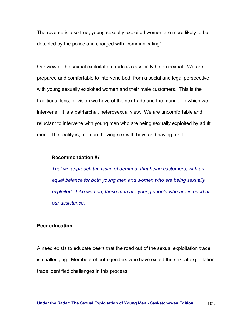The reverse is also true, young sexually exploited women are more likely to be detected by the police and charged with 'communicating'.

Our view of the sexual exploitation trade is classically heterosexual. We are prepared and comfortable to intervene both from a social and legal perspective with young sexually exploited women and their male customers. This is the traditional lens, or vision we have of the sex trade and the manner in which we intervene. It is a patriarchal, heterosexual view. We are uncomfortable and reluctant to intervene with young men who are being sexually exploited by adult men. The reality is, men are having sex with boys and paying for it.

#### **Recommendation #7**

*That we approach the issue of demand, that being customers, with an equal balance for both young men and women who are being sexually exploited. Like women, these men are young people who are in need of our assistance.* 

#### **Peer education**

A need exists to educate peers that the road out of the sexual exploitation trade is challenging. Members of both genders who have exited the sexual exploitation trade identified challenges in this process.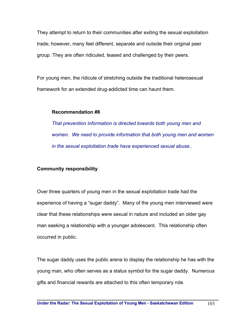They attempt to return to their communities after exiting the sexual exploitation trade; however, many feel different, separate and outside their original peer group. They are often ridiculed, teased and challenged by their peers.

For young men, the ridicule of stretching outside the traditional heterosexual framework for an extended drug-addicted time can haunt them.

## **Recommendation #8**

*That prevention information is directed towards both young men and women. We need to provide information that both young men and women in the sexual exploitation trade have experienced sexual abuse..* 

## **Community responsibility**

Over three quarters of young men in the sexual exploitation trade had the experience of having a "sugar daddy". Many of the young men interviewed were clear that these relationships were sexual in nature and included an older gay man seeking a relationship with a younger adolescent. This relationship often occurred in public.

The sugar daddy uses the public arena to display the relationship he has with the young man, who often serves as a status symbol for the sugar daddy. Numerous gifts and financial rewards are attached to this often temporary role.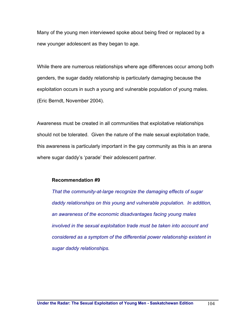Many of the young men interviewed spoke about being fired or replaced by a new younger adolescent as they began to age.

While there are numerous relationships where age differences occur among both genders, the sugar daddy relationship is particularly damaging because the exploitation occurs in such a young and vulnerable population of young males. (Eric Berndt, November 2004).

Awareness must be created in all communities that exploitative relationships should not be tolerated. Given the nature of the male sexual exploitation trade, this awareness is particularly important in the gay community as this is an arena where sugar daddy's 'parade' their adolescent partner.

#### **Recommendation #9**

*That the community-at-large recognize the damaging effects of sugar daddy relationships on this young and vulnerable population. In addition, an awareness of the economic disadvantages facing young males involved in the sexual exploitation trade must be taken into account and considered as a symptom of the differential power relationship existent in sugar daddy relationships.*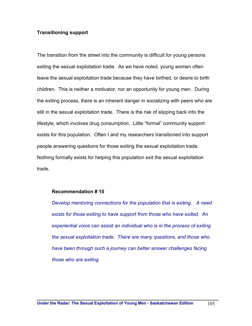#### **Transitioning support**

The transition from the street into the community is difficult for young persons exiting the sexual exploitation trade. As we have noted, young women often leave the sexual exploitation trade because they have birthed, or desire to birth children. This is neither a motivator, nor an opportunity for young men. During the exiting process, there is an inherent danger in socializing with peers who are still in the sexual exploitation trade. There is the risk of slipping back into the lifestyle, which involves drug consumption. Little "formal" community support exists for this population. Often I and my researchers transitioned into support people answering questions for those exiting the sexual exploitation trade. Nothing formally exists for helping this population exit the sexual exploitation trade.

#### **Recommendation # 10**

*Develop mentoring connections for the population that is exiting. A need exists for those exiting to have support from those who have exited. An experiential voice can assist an individual who is in the process of exiting the sexual exploitation trade. There are many questions, and those who have been through such a journey can better answer challenges facing those who are exiting.*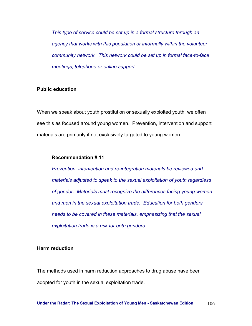*This type of service could be set up in a formal structure through an agency that works with this population or informally within the volunteer community network. This network could be set up in formal face-to-face meetings, telephone or online support.* 

# **Public education**

When we speak about youth prostitution or sexually exploited youth, we often see this as focused around young women. Prevention, intervention and support materials are primarily if not exclusively targeted to young women.

#### **Recommendation # 11**

*Prevention, intervention and re-integration materials be reviewed and materials adjusted to speak to the sexual exploitation of youth regardless of gender. Materials must recognize the differences facing young women and men in the sexual exploitation trade. Education for both genders needs to be covered in these materials, emphasizing that the sexual exploitation trade is a risk for both genders.* 

#### **Harm reduction**

The methods used in harm reduction approaches to drug abuse have been adopted for youth in the sexual exploitation trade.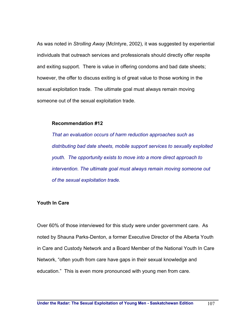As was noted in *Strolling Away* (McIntyre, 2002), it was suggested by experiential individuals that outreach services and professionals should directly offer respite and exiting support. There is value in offering condoms and bad date sheets; however, the offer to discuss exiting is of great value to those working in the sexual exploitation trade. The ultimate goal must always remain moving someone out of the sexual exploitation trade.

#### **Recommendation #12**

*That an evaluation occurs of harm reduction approaches such as distributing bad date sheets, mobile support services to sexually exploited youth. The opportunity exists to move into a more direct approach to intervention. The ultimate goal must always remain moving someone out of the sexual exploitation trade.* 

#### **Youth In Care**

Over 60% of those interviewed for this study were under government care. As noted by Shauna Parks-Denton, a former Executive Director of the Alberta Youth in Care and Custody Network and a Board Member of the National Youth In Care Network, "often youth from care have gaps in their sexual knowledge and education." This is even more pronounced with young men from care.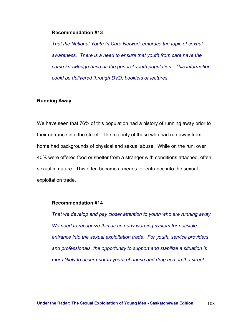#### **Recommendation #13**

*That the National Youth In Care Network embrace the topic of sexual awareness. There is a need to ensure that youth from care have the same knowledge base as the general youth population. This information could be delivered through DVD, booklets or lectures.* 

#### **Running Away**

We have seen that 76% of this population had a history of running away prior to their entrance into the street. The majority of those who had run away from home had backgrounds of physical and sexual abuse. While on the run, over 40% were offered food or shelter from a stranger with conditions attached, often sexual in nature. This often became a means for entrance into the sexual exploitation trade.

#### **Recommendation #14**

*That we develop and pay closer attention to youth who are running away. We need to recognize this as an early warning system for possible entrance into the sexual exploitation trade. For youth, service providers and professionals, the opportunity to support and stabilize a situation is more likely to occur prior to years of abuse and drug use on the street.*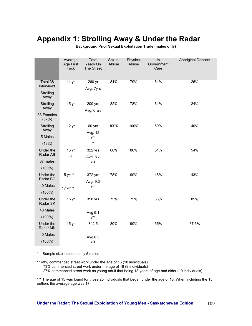# **Appendix 1: Strolling Away & Under the Radar**

|                                             | Average<br><b>Age First</b><br><b>Trick</b> | Total<br>Years On<br>The Street | Sexual<br>Abuse | Physical<br>Abuse | In<br>Government<br>Care | <b>Aboriginal Descent</b> |
|---------------------------------------------|---------------------------------------------|---------------------------------|-----------------|-------------------|--------------------------|---------------------------|
| Total 38<br>Interviews<br>Strolling<br>Away | 14 yr                                       | 260 yr<br>Avg. 7yrs             | 84%             | 79%               | 61%                      | 26%                       |
| Strolling<br>Away                           | 15 <sub>yr</sub>                            | 200 yrs<br>Avg. 6 yrs           | 82%             | 78%               | 61%                      | 24%                       |
| 33 Females<br>(87%)                         |                                             |                                 |                 |                   |                          |                           |
| Strolling<br>Away<br>5 Males                | 12 <sub>yr</sub>                            | 60 yrs                          | 100%            | 100%              | 60%                      | 40%                       |
|                                             |                                             | Avg. 12<br>yrs                  |                 |                   |                          |                           |
| (13%)                                       |                                             | $\star$                         |                 |                   |                          |                           |
| Under the<br>Radar AB                       | 15 yr<br>$***$                              | 322 yrs                         | 68%             | 86%               | 51%                      | 54%                       |
| 37 males                                    |                                             | Avg. 8.7<br>yrs                 |                 |                   |                          |                           |
| $(100\%)$                                   |                                             |                                 |                 |                   |                          |                           |
| Under the<br>Radar BC                       | 15 yr***                                    | 372 yrs<br>Avg. 9.3             | 78%             | 90%               | 46%                      | 43%                       |
| 40 Males<br>$(100\%)$                       | 17 yr***                                    | yrs                             |                 |                   |                          |                           |
| Under the<br>Radar SK                       | 15 <sub>yr</sub>                            | 358 yrs                         | 75%             | 75%               | 63%                      | 85%                       |
| 40 Males                                    |                                             | Avg 9.1                         |                 |                   |                          |                           |
| $(100\%)$                                   |                                             | yrs                             |                 |                   |                          |                           |
| Under the<br>Radar MN                       | 15 yr                                       | 342.5                           | 80%             | 90%               | 55%                      | 67.5%                     |
| 40 Males                                    |                                             | Avg 8.5                         |                 |                   |                          |                           |
| $(100\%)$                                   |                                             | yrs                             |                 |                   |                          |                           |

**Background Prior Sexual Exploitation Trade (males only)** 

\* Sample size includes only 5 males

\*\* 48% commenced street work under the age of 16 (18 individuals) 73% commenced street work under the age of 18 (9 individuals) 27% commenced street work as young adult that being 18 years of age and older (10 individuals)

\*\*\* The age of 15 was found for those 25 individuals that began under the age of 18. When including the 15 outliers the average age was 17.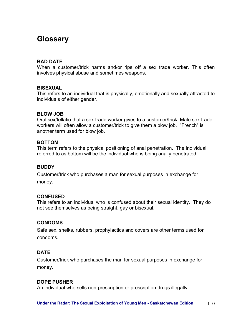# **Glossary**

## **BAD DATE**

When a customer/trick harms and/or rips off a sex trade worker. This often involves physical abuse and sometimes weapons.

## **BISEXUAL**

This refers to an individual that is physically, emotionally and sexually attracted to individuals of either gender.

## **BLOW JOB**

Oral sex/fellatio that a sex trade worker gives to a customer/trick. Male sex trade workers will often allow a customer/trick to give them a blow job. "French" is another term used for blow job.

## **BOTTOM**

This term refers to the physical positioning of anal penetration. The individual referred to as bottom will be the individual who is being anally penetrated.

## **BUDDY**

Customer/trick who purchases a man for sexual purposes in exchange for money.

# **CONFUSED**

This refers to an individual who is confused about their sexual identity. They do not see themselves as being straight, gay or bisexual.

## **CONDOMS**

Safe sex, sheiks, rubbers, prophylactics and covers are other terms used for condoms.

# **DATE**

Customer/trick who purchases the man for sexual purposes in exchange for money.

# **DOPE PUSHER**

An individual who sells non-prescription or prescription drugs illegally.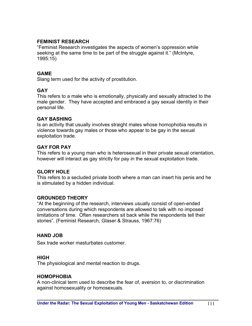## **FEMINIST RESEARCH**

"Feminist Research investigates the aspects of women's oppression while seeking at the same time to be part of the struggle against it." (McIntyre, 1995:15)

## **GAME**

Slang term used for the activity of prostitution.

## **GAY**

This refers to a male who is emotionally, physically and sexually attracted to the male gender. They have accepted and embraced a gay sexual identity in their personal life.

## **GAY BASHING**

Is an activity that usually involves straight males whose homophobia results in violence towards gay males or those who appear to be gay in the sexual exploitation trade.

## **GAY FOR PAY**

This refers to a young man who is heterosexual in their private sexual orientation, however will interact as gay strictly for pay in the sexual exploitation trade.

## **GLORY HOLE**

This refers to a secluded private booth where a man can insert his penis and he is stimulated by a hidden individual.

# **GROUNDED THEORY**

"At the beginning of the research, interviews usually consist of open-ended conversations during which respondents are allowed to talk with no imposed limitations of time. Often researchers sit back while the respondents tell their stories". (Feminist Research, Glaser & Strauss, 1967:76)

# **HAND JOB**

Sex trade worker masturbates customer.

## **HIGH**

The physiological and mental reaction to drugs.

## **HOMOPHOBIA**

A non-clinical term used to describe the fear of, aversion to, or discrimination against homosexuality or homosexuals.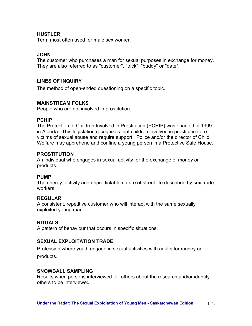## **HUSTLER**

Term most often used for male sex worker.

## **JOHN**

The customer who purchases a man for sexual purposes in exchange for money. They are also referred to as "customer", "trick", "buddy" or "date".

# **LINES OF INQUIRY**

The method of open-ended questioning on a specific topic.

## **MAINSTREAM FOLKS**

People who are not involved in prostitution.

## **PCHIP**

The Protection of Children Involved in Prostitution (PCHIP) was enacted in 1999 in Alberta. This legislation recognizes that children involved in prostitution are victims of sexual abuse and require support. Police and/or the director of Child Welfare may apprehend and confine a young person in a Protective Safe House.

## **PROSTITUTION**

An individual who engages in sexual activity for the exchange of money or products.

## **PUMP**

The energy, activity and unpredictable nature of street life described by sex trade workers.

## **REGULAR**

A consistent, repetitive customer who will interact with the same sexually exploited young man.

## **RITUALS**

A pattern of behaviour that occurs in specific situations.

# **SEXUAL EXPLOITATION TRADE**

Profession where youth engage in sexual activities with adults for money or products.

## **SNOWBALL SAMPLING**

Results when persons interviewed tell others about the research and/or identify others to be interviewed.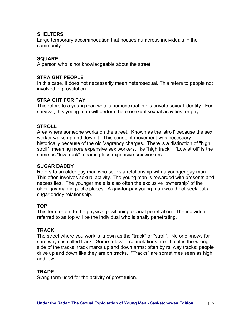## **SHELTERS**

Large temporary accommodation that houses numerous individuals in the community.

## **SQUARE**

A person who is not knowledgeable about the street.

## **STRAIGHT PEOPLE**

In this case, it does not necessarily mean heterosexual. This refers to people not involved in prostitution.

# **STRAIGHT FOR PAY**

This refers to a young man who is homosexual in his private sexual identity. For survival, this young man will perform heterosexual sexual activities for pay.

## **STROLL**

Area where someone works on the street. Known as the 'stroll' because the sex worker walks up and down it. This constant movement was necessary historically because of the old Vagrancy charges. There is a distinction of "high stroll", meaning more expensive sex workers, like "high track". "Low stroll" is the same as "low track" meaning less expensive sex workers.

## **SUGAR DADDY**

Refers to an older gay man who seeks a relationship with a younger gay man. This often involves sexual activity. The young man is rewarded with presents and necessities. The younger male is also often the exclusive 'ownership' of the older gay man in public places. A gay-for-pay young man would not seek out a sugar daddy relationship.

## **TOP**

This term refers to the physical positioning of anal penetration. The individual referred to as top will be the individual who is anally penetrating.

# **TRACK**

The street where you work is known as the "track" or "stroll". No one knows for sure why it is called track. Some relevant connotations are: that it is the wrong side of the tracks; track marks up and down arms; often by railway tracks; people drive up and down like they are on tracks. "Tracks" are sometimes seen as high and low.

# **TRADE**

Slang term used for the activity of prostitution.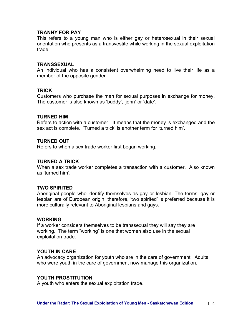#### **TRANNY FOR PAY**

This refers to a young man who is either gay or heterosexual in their sexual orientation who presents as a transvestite while working in the sexual exploitation trade.

#### **TRANSSEXUAL**

An individual who has a consistent overwhelming need to live their life as a member of the opposite gender.

#### **TRICK**

Customers who purchase the man for sexual purposes in exchange for money. The customer is also known as 'buddy', 'john' or 'date'.

#### **TURNED HIM**

Refers to action with a customer. It means that the money is exchanged and the sex act is complete. 'Turned a trick' is another term for 'turned him'.

#### **TURNED OUT**

Refers to when a sex trade worker first began working.

#### **TURNED A TRICK**

When a sex trade worker completes a transaction with a customer. Also known as 'turned him'.

#### **TWO SPIRITED**

Aboriginal people who identify themselves as gay or lesbian. The terms, gay or lesbian are of European origin, therefore, 'two spirited' is preferred because it is more culturally relevant to Aboriginal lesbians and gays.

#### **WORKING**

If a worker considers themselves to be transsexual they will say they are working. The term "working" is one that women also use in the sexual exploitation trade.

#### **YOUTH IN CARE**

An advocacy organization for youth who are in the care of government. Adults who were youth in the care of government now manage this organization.

#### **YOUTH PROSTITUTION**

A youth who enters the sexual exploitation trade.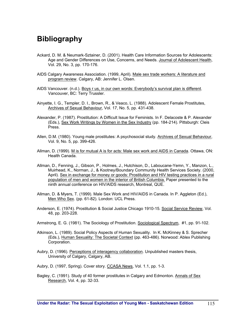# **Bibliography**

- Ackard, D. M. & Neumark-Sztainer, D. (2001). Health Care Information Sources for Adolescents: Age and Gender Differences on Use, Concerns, and Needs. Journal of Adolescent Health, Vol. 29, No. 3, pp. 170-176.
- AIDS Calgary Awareness Association. (1999, April). Male sex trade workers: A literature and program review. Calgary, AB: Jennifer L. Olsen.
- AIDS Vancouver. (n.d.). Boys r us, in our own words: Everybody's survival plan is different. Vancouver, BC: Terry Trussler.
- Ainyette, I. G., Templer, D. I., Brown, R., & Veaco, L. (1988). Adolescent Female Prostitutes, Archives of Sexual Behaviour, Vol. 17, No. 5, pp. 431-438.
- Alexander, P. (1987). Prostitution: A Difficult Issue for Feminists. In F. Delacoste & P. Alexander (Eds.), Sex Work Writings by Women in the Sex Industry (pp. 184-214). Pittsburgh: Cleis Press.
- Allen, D.M. (1980). Young male prostitutes: A psychosocial study. Archives of Sexual Behaviour, Vol. 9, No. 5, pp. 399-426.
- Allman, D. (1999). M is for mutual A is for acts: Male sex work and AIDS in Canada. Ottawa, ON: Health Canada.
- Allman, D., Fenning, J., Gibson, P., Holmes, J., Hutchison, D., Laboucane-Yemn, Y., Manzon, L., Muirhead, K., Norman, J., & Kootney/Boundary Community Health Services Society. (2000, April). Sex in exchange for money or goods: Prostitution and HIV testing practices in a rural population of men and women in the interior of British Columbia. Paper presented to the ninth annual conference on HIV/AIDS research, Montreal, QUE.
- Allman, D. & Myers, T. (1999). Male Sex Work and HIV/AIDS in Canada. In P. Aggleton (Ed.), Men Who Sex. (pp. 61-82). London: UCL Press.
- Anderson, E. (1974). Prostitution & Social Justice Chicago 1910-15. Social Service Review, Vol. 48, pp. 203-228.
- Armstrong, E. G. (1981). The Sociology of Prostitution. Sociological Spectrum, #1, pp. 91-102.
- Atkinson, L. (1989). Social Policy Aspects of Human Sexuality. In K. McKinney & S. Sprecher (Eds.), Human Sexuality: The Societal Context (pp. 463-486). Norwood: Ablex Publishing Corporation.
- Aubry, D. (1996). Perceptions of interagency collaboration. Unpublished masters thesis, University of Calgary, Calgary, AB.
- Aubry, D. (1997, Spring). Cover story. CCASA News, Vol. 1.1, pp. 1-3.
- Bagley, C. (1991). Study of 40 former prostitutes in Calgary and Edmonton. Annals of Sex Research, Vol. 4, pp. 32-33.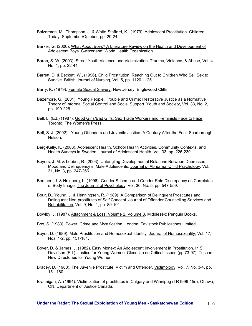- Baizerman, M., Thompson, J. & White-Stafford, K., (1979). Adolescent Prostitution. Children Today, September/October, pp. 20-24.
- Barker, G. (2000). What About Boys? A Literature Review on the Health and Development of Adolescent Boys. Switzerland: World Health Organization.
- Baron, S. W. (2003). Street Youth Violence and Victimization. Trauma, Violence, & Abuse, Vol. 4 No. 1, pp. 22-44.
- Barrett, D. & Beckett, W., (1996). Child Prostitution: Reaching Out to Children Who Sell Sex to Survive. British Journal of Nursing, Vol. 5, pp. 1120-1125.
- Barry, K. (1979). Female Sexual Slavery. New Jersey: Englewood Cliffs.
- Bazemore, G. (2001). Young People, Trouble and Crime: Restorative Justice as a Normative Theory of Informal Social Control and Social Support. Youth and Society, Vol. 33, No. 2, pp. 199-226.
- Bell, L. (Ed.) (1987). Good Girls/Bad Girls: Sex Trade Workers and Feminists Face to Face. Toronto: The Women's Press.
- Bell, S. J. (2002). Young Offenders and Juvenile Justice: A Century After the Fact. Scarborough: Nelson.
- Berg-Kelly, K. (2003). Adolescent Health, School Health Activities, Community Contexts, and Health Surveys in Sweden. Journal of Adolescent Health. Vol. 33, pp. 226-230.
- Beyers, J. M. & Loeber, R. (2003). Untangling Developmental Relations Between Depressed Mood and Delinquency in Male Adolescents. Journal of Abnormal Child Psychology. Vol. 31, No. 3, pp. 247-266.
- Borchert, J. & Heinberg, L. (1996). Gender Schema and Gender Role Discrepancy as Correlates of Body Image. The Journal of Psychology. Vol. 30, No. 5, pp. 547-559.
- Bour, D., Young, J. & Henningsen, R. (1989). A Comparison of Delinquent Prostitutes and Delinquent Non-prostitutes of Self Concept. Journal of Offender Counselling Services and Rehabilitation, Vol. 9, No. 1, pp. 89-101.
- Bowlby, J. (1987). Attachment & Loss: Volume 2, Volume 3, Middlesex: Penguin Books.
- Box, S. (1983). Power, Crime and Mystification. London: Tavistock Publications Limited.
- Boyer, D. (1989). Male Prostitution and Homosexual Identity. Journal of Homosexuality, Vol. 17, Nos. 1-2, pp. 151-184.
- Boyer, D. & James, J. (1982). Easy Money: An Adolescent Involvement in Prostitution. In S. Davidson (Ed.), Justice for Young Women: Close Up on Critical Issues (pp.73-97). Tuscon: New Directories for Young Women.
- Bracey, D. (1983). The Juvenile Prostitute: Victim and Offender. Victimology, Vol. 7, No. 3-4, pp. 151-160.
- Brannigan, A. (1994). Victimization of prostitutes in Calgary and Winnipeg (TR1996-15e). Ottawa, ON: Department of Justice Canada.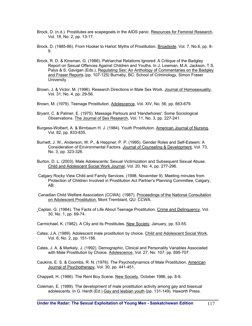- Brock, D. (n.d.). Prostitutes are scapegoats in the AIDS panic. Resources for Feminist Research, Vol. 18, No. 2, pp. 13-17.
- Brock, D. (1985-86). From Hooker to Harlot: Myths of Prostitution. Broadside, Vol. 7, No.6, pp. 8-  $\mathsf{Q}$
- Brock, R. D. & Kinsman, G. (1986). Patriarchal Relations Ignored: A Critique of the Badgley Report on Sexual Offences Against Children and Youths. In J. Lowman, M.A. Jackson, T.S. Palys & S. Gavigan (Eds.), Regulating Sex: An Anthology of Commentaries on the Badgley and Fraser Reports (pp. 107-125) Burnaby, BC: School of Criminology, Simon Fraser University.
- Brown, J. & Victor, M. (1996). Research Directions in Male Sex Work. Journal of Homosexuality, Vol. 31, No. 4, pp. 29-56.
- Brown, M. (1979). Teenage Prostitution. Adolescence, Vol. XIV, No. 56, pp. 663-679.
- Bryant, C. & Palmer, E. (1975). Massage Parlours and 'Handwhores': Some Sociological Observations. The Journal of Sex Research, Vol. 11, No. 3, pp. 227-241.
- Burgess-Wolbert, A. & Birnbaum H. J. (1984). Youth Prostitution. American Journal of Nursing, Vol. 82, pp. 833-835.
- Burnett, J. W., Anderson, W. P., & Heppner, P. P. (1995). Gender Roles and Self-Esteem: A Consideration of Environmental Factors. Journal of Counseling & Development, Vol. 73, No. 3, pp. 323-326.
- Burton, D. L. (2003). Male Adolescents: Sexual Victimization and Subsequent Sexual Abuse. Child and Adolescent Social Work Journal, Vol. 20, No. 4, pp. 277-296.
- Calgary Rocky View Child and Family Services. (1998, November 9). Meeting minutes from Protection of Children Involved in Prostitution Act Partner's Planning Committee, Calgary, AB.
- Canadian Child Welfare Association (CCWA). (1987). Proceedings of the National Consultation on Adolescent Prostitution, Mont Tremblant, QU: CCWA.
- Caplan, G. (1984). The Facts of Life About Teenage Prostitution. Crime and Delinquency, Vol. 30, No. 1, pp. 69-74.
- Carmichael, K. (1982). A City and its Prostitutes. New Society, January, pp. 53-55.
- Cates, J.A. (1989). Adolescent male prostitution by choice. Child and Adolescent Social Work, Vol. 6, No. 2, pp. 151-156.
- Cates, J. A. & Markely, J. (1992). Demographic, Clinical and Personality Variables Associated with Male Prostitution by Choice. Adolescence, Vol. 27, No. 107, pp. 695-707.
- Caukins, E. S. & Coombs, R. N. (1976). The Psychodynamics of Male Prostitution. American Journal of Psychotherapy, Vol. 30, pp. 441-451.
- Chappell, H. (1986). The Rent Boy Scene. New Society, October 1986, pp. 8-9.
- Coleman, E. (1989). The development of male prostitution activity among gay and bisexual adolescents. In G. Herdt (Ed.) Gay and lesbian youth (pp. 131-149). Haworth Press.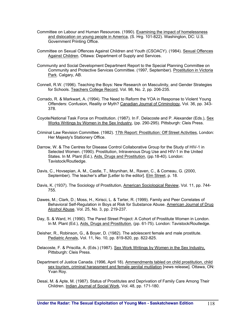- Committee on Labour and Human Resources. (1990). Examining the impact of homelessness and dislocation on young people in America, (S. Hrg. 101-822). Washington, DC: U.S. Government Printing Office.
- Committee on Sexual Offences Against Children and Youth (CSOACY). (1984). Sexual Offences Against Children. Ottawa: Department of Supply and Services.
- Community and Social Development Department Report to the Special Planning Committee on Community and Protective Services Committee. (1997, September). Prostitution in Victoria Park. Calgary, AB.
- Connell, R.W. (1996). Teaching the Boys: New Research on Masculinity, and Gender Strategies for Schools. Teachers College Record, Vol. 98, No. 2, pp. 206-235.
- Corrado, R. & Markwart, A. (1994). The Need to Reform the YOA in Response to Violent Young Offenders: Confusion, Reality or Myth? Canadian Journal of Criminology, Vol. 36, pp. 343- 378.
- Coyote/National Task Force on Prostitution. (1987). In F. Delacoste and P. Alexander (Eds.), Sex Works Writings by Women in the Sex Industry, (pp. 290-295). Pittsburgh: Cleis Press.
- Criminal Law Revision Committee. (1982). 17th Report: Prostitution: Off Street Activities, London: Her Majesty's Stationery Office.
- Darrow, W. & The Centres for Disease Control Collaborative Group for the Study of HIV-1 in Selected Women. (1990). Prostitution, Intravenous Drug Use and HIV-1 in the United States. In M. Plant (Ed.), Aids, Drugs and Prostitution, (pp.18-40). London: Tavistock/Routledge.
- Davis, C., Hovsepian, A. M., Castle, T., Moynihan, M., Raven, C., & Comeau, G. (2000, September). The teacher's affair [Letter to the editor]. Elm Street, p. 18.
- Davis, K. (1937). The Sociology of Prostitution, American Sociological Review, Vol. 11, pp. 744-755.
- Dawes, M.; Clark, D.; Moss, H., Kirisci, L. & Tarter, R. (1999). Family and Peer Correlates of Behavioral Self-Regulation in Boys at Risk for Substance Abuse. American Journal of Drug Alcohol Abuse. Vol. 25, No. 3, pp. 219-237.
- Day, S. & Ward, H. (1990). The Pared Street Project: A Cohort of Prostitute Women in London. In M. Plant (Ed.), Aids, Drugs and Prostitution, (pp. 61-75). London: Tavistock/Routledge.
- Deisher, R., Robinson, G., & Boyer, D. (1982). The adolescent female and male prostitute. Pediatric Annals, Vol. 11, No. 10, pp. 819-820, pp. 822-825.
- Delacoste, F. & Priscilla, A. (Eds.) (1987). Sex Work Writings by Women in the Sex Industry, Pittsburgh: Cleis Press.
- Department of Justice Canada. (1996, April 18). Ammendments tabled on child prostitution, child sex tourism, criminal harassment and female genital mutilation [news release]. Ottawa, ON: Yvan Roy.
- Desai, M. & Apte, M. (1987). Status of Prostitutes and Deprivation of Family Care Among Their Children. Indian Journal of Social Work, Vol. 48, pp. 171-180.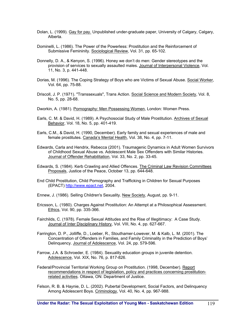- Dolan, L. (1999). Gay for pay. Unpublished under-graduate paper, University of Calgary, Calgary, Alberta.
- Dominelli, L. (1986). The Power of the Powerless: Prostitution and the Reinforcement of Submissive Femininity. Sociological Review, Vol. 31, pp. 65-102.
- Donnelly, D. A., & Kenyon, S. (1996). Honey we don't do men: Gender stereotypes and the provision of services to sexually assaulted males. Journal of Interpersonal Violence, Vol. 11, No. 3, p. 441-448.
- Dorias, M. (1996). The Coping Strategy of Boys who are Victims of Sexual Abuse. Social Worker, Vol. 64, pp. 75-88.
- Driscoll, J. P. (1971). "Transsexuals", Trans Action. Social Science and Modern Society, Vol. 8, No. 5, pp. 28-68.
- Dworkin, A. (1981). Pornography: Men Possessing Women, London: Women Press.
- Earls, C. M. & David, H. (1989). A Psychosocial Study of Male Prostitution. Archives of Sexual Behavior, Vol. 18, No. 5, pp. 401-419.
- Earls, C.M., & David, H. (1990, December). Early family and sexual experiences of male and female prostitutes. Canada's Mental Health, Vol. 38, No. 4, pp. 7-11.
- Edwards, Carla and Hendrix, Rebecca (2001). Traumagenic Dynamics in Adult Women Survivors of Childhood Sexual Abuse vs. Adolescent Male Sex Offenders with Similar Histories. Journal of Offender Rehabilitation, Vol. 33, No. 2, pp. 33-45.
- Edwards, S. (1984). Kerb Crawling and Allied Offences. The Criminal Law Revision Committees Proposals, Justice of the Peace, October 13, pp. 644-648.
- End Child Prostitution, Child Pornography and Trafficking in Children for Sexual Purposes (EPACT) http://www.epact.net, 2004.
- Ennew, J. (1986). Selling Children's Sexuality. New Society, August, pp. 9-11.
- Ericsson, L. (1980). Charges Against Prostitution: An Attempt at a Philosophical Assessment. Ethics, Vol. 90, pp. 335-366.
- Fairchilds, C. (1978). Female Sexual Attitudes and the Rise of Illegitimacy: A Case Study. Journal of Inter Disciplinary History, Vol. VIII, No. 4, pp. 627-667.
- Farrington, D. P., Jolliffe, D., Loeber, R., Stouthamer-Lowever, M. & Kalb, L. M. (2001). The Concentration of Offenders in Families, and Family Criminality in the Prediction of Boys' Delinquency. Journal of Adolescence, Vol. 24, pp. 579-596.
- Farrow, J.A. & Schroeder, E. (1984). Sexuality education groups in juvenile detention. Adolescence, Vol. XIX, No. 76, p. 817-826.
- Federal/Provincial Territorial Working Group on Prostitution. (1998, December). Report recommendations in respect of legislation, policy and practices concerning prostitutionrelated activities. Ottawa, ON: Department of Justice.
- Felson, R. B. & Haynie, D. L. (2002). Pubertal Development, Social Factors, and Delinquency Among Adolescent Boys. Criminology, Vol. 40, No. 4, pp. 967-988.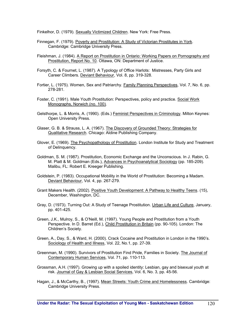Finkelhor, D. (1979). Sexually Victimized Children. New York: Free Press.

- Finnegan, F. (1979). Poverty and Prostitution: A Study of Victorian Prostitutes in York. Cambridge: Cambridge University Press.
- Fleishman, J. (1984). A Report on Prostitution in Ontario: Working Papers on Pornography and Prostitution, Report No. 10. Ottawa, ON: Department of Justice.
- Forsyth, C. & Fournet, L. (1987). A Typology of Office Harlots: Mistresses, Party Girls and Career Climbers. Deviant Behaviour, Vol. 8, pp. 319-328.
- Fortier, L. (1975). Women, Sex and Patriarchy. Family Planning Perspectives, Vol. 7, No. 6, pp. 278-281.
- Foster, C. (1991). Male Youth Prostitution: Perspectives, policy and practice. Social Work Monographs, Norwich (no. 100).
- Gelsthorpe, L. & Morris, A. (1990). (Eds.) Feminist Perspectives in Criminology. Milton Keynes: Open University Press.
- Glaser, G. B. & Strauss, L. A. (1967). The Discovery of Grounded Theory: Strategies for Qualitative Research. Chicago: Aldine Publishing Company.
- Glover, E. (1969). The Psychopathology of Prostitution. London Institute for Study and Treatment of Delinquency.
- Goldman, S. M. (1987). Prostitution, Economic Exchange and the Unconscious. In J. Rabin, G. M. Platt & M. Goldman (Eds.), Advances in Psychoanalytical Sociology (pp. 185-209). Malibu, FL: Robert E. Kreeger Publishing.
- Goldstein, P. (1983). Occupational Mobility in the World of Prostitution: Becoming a Madam. Deviant Behaviour, Vol. 4, pp. 267-279.
- Grant Makers Health. (2002). Positive Youth Development: A Pathway to Healthy Teens. (15), December, Washington, DC.
- Gray, D. (1973). Turning Out: A Study of Teenage Prostitution. Urban Life and Culture, January, pp. 401-425.
- Green, J.K., Mulroy, S., & O'Neill, M. (1997). Young People and Prostitution from a Youth Perspective. In D. Barret (Ed.), Child Prostitution in Britain (pp. 90-105). London: The Children's Society.
- Green, A., Day, S., & Ward, H. (2000). Crack Cocaine and Prostitution in London in the 1990's. Sociology of Health and Illness, Vol. 22, No.1, pp. 27-39.
- Greenman, M. (1990). Survivors of Prostitution Find Pride, Families in Society. The Journal of Contemporary Human Services, Vol. 71, pp. 110-113.
- Grossman, A.H. (1997). Growing up with a spoiled identity: Lesbian, gay and bisexual youth at risk. Journal of Gay & Lesbian Social Services, Vol. 6, No. 3, pp. 45-56.
- Hagan, J., & McCarthy, B., (1997). Mean Streets: Youth Crime and Homelessness. Cambridge: Cambridge University Press.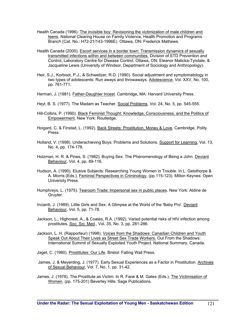- Health Canada (1996). The invisible boy: Revisioning the victimization of male children and teens. National Clearing House on Family Violence, Health Promotion and Programs Branch (Cat. No.: H72-21/143-1996E). Ottawa, ON: Frederick Mathews.
- Health Canada (2000). Escort services in a border town: Transmission dynamics of sexually transmitted infections within and between communities. Division of STD Prevention and Control, Laboratory Centre for Disease Control. Ottawa, ON: Eleanor Maticka-Tyndale, & Jacqueline Lewis (University of Windsor, Department of Sociology and Anthropology).
- Heir, S.J., Korboot, P.J., & Schweitzer, R.D. (1990). Social adjustment and symptomatology in two types of adolescents: Run aways and throwaways. Adolescence, Vol. XXV, No. 100, pp. 761-771.
- Herman, J. (1981). Father-Daughter Incest. Cambridge, MA: Harvard University Press.
- Heyl, B. S. (1977). The Madam as Teacher. Social Problems, Vol. 24, No. 5, pp. 545-555.
- Hill-Collins, P. (1990). Black Feminist Thought: Knowledge, Consciousness, and the Politics of Empowerment. New York: Routledge.
- Hoigard, C. & Finstad, L. (1992). Back Streets: Prostitution, Money & Love. Cambridge, Polity Press.
- Holland, V. (1998). Underachieving Boys: Problems and Solutions. Support for Learning, Vol. 13, No. 4, pp. 174-178.
- Holzman, H. R. & Pines, S. (1982). Buying Sex: The Phenomenology of Being a John. Deviant Behaviour, Vol. 4, pp. 89-116.
- Hudson, A. (1990). Elusive Subjects: Researching Young Women in Trouble. In L. Gelsthorpe & A. Morris (Eds.), Feminist Perspectives in Criminology, (pp.115-123). Milton Keynes: Open University Press.
- Humphreys, L. (1975). Tearoom Trade: Impersonal sex in public places. New York: Aldine de Gruyter.
- Inciardi, J. (1989). Little Girls and Sex: A Glimpse at the World of the 'Baby Pro'. Deviant Behaviour, Vol. 5, pp. 71-78.
- Jackson, L., Highcrest, A., & Coates, R.A. (1992). Varied potential risks of HIV infection among prostitutes. Soc. Sci. Med., Vol. 35, No. 3, pp. 281-286.
- Jackson, L. H. (Rapporteur) (1998). Voices from the Shadows: Canadian Children and Youth Speak Out About Their Lives as Street Sex Trade Workers. Out From the Shadows: International Summit of Sexually Exploited Youth Project. National Summary, Canada.

Jaget, C. (1980). Prostitutes: Our Life. Bristol: Falling Wall Press.

James, J. & Meyerding, J. (1977). Early Sexual Experiences as a Factor in Prostitution. Archives of Sexual Behaviour, Vol. 7, No. 1, pp. 31-42.

James, J. (1978). The Prostitute as Victim. In R. Fane & M. Gates (Eds.), The Victimisation of Women, (pp. 175-201) Beverley Hills: Sage Publications.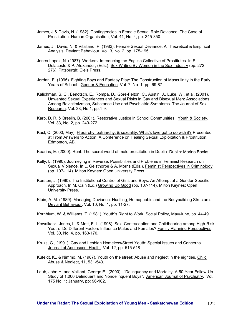- James, J & Davis, N. (1982). Contingencies in Female Sexual Role Deviance: The Case of Prostitution. Human Organisation, Vol. 41, No. 4, pp. 345-350.
- James, J., Davis, N. & Vitaliano, P. (1982). Female Sexual Deviance: A Theoretical & Empirical Analysis. Deviant Behaviour, Vol. 3, No. 2, pp. 175-195.
- Jones-Lopez, N. (1987). Workers: Introducing the English Collective of Prostitutes. In F. Delacoste & P. Alexander, (Eds.), Sex Writing By Women in the Sex Industry (pp. 272- 276). Pittsburgh: Cleis Press.
- Jordan, E. (1995). Fighting Boys and Fantasy Play: The Construction of Masculinity in the Early Years of School. Gender & Education, Vol. 7, No. 1, pp. 69-87.
- Kalichman, S. C., Benotsch, E., Rompa, D., Gore-Felton, C., Austin, J., Luke, W., et al. (2001). Unwanted Sexual Experiences and Sexual Risks in Gay and Bisexual Men: Associations Among Revictimization, Substance Use and Psychiatric Symptoms. The Journal of Sex Research. Vol. 38, No 1, pp.1-9.
- Karp, D. R. & Breslin, B. (2001). Restorative Justice in School Communities. Youth & Society, Vol. 33, No. 2, pp. 249-272.
- Kasl, C. (2000, May). Hierarchy, patriarchy, & sexuality: What's love got to do with it? Presented at From Answers to Action: A Conference on Healing Sexual Exploitation & Prostitution, Edmonton, AB.
- Kearins, E. (2000). Rent: The secret world of male prostitution in Dublin. Dublin: Marino Books.
- Kelly, L. (1990). Journeying in Reverse: Possibilities and Problems in Feminist Research on Sexual Violence. In L. Gelsthorpe & A. Morris (Eds.), Feminist Perspectives in Criminology (pp. 107-114). Milton Keynes: Open University Press.
- Kersten, J. (1990). The Institutional Control of Girls and Boys: An Attempt at a Gender-Specific Approach. In M. Cain (Ed.) Growing Up Good (pp. 107-114). Milton Keynes: Open University Press.
- Klein, A. M. (1989). Managing Deviance: Hustling, Homophobic and the Bodybuilding Structure. Deviant Behaviour, Vol. 10, No. 1, pp. 11-27.

Kornblum, W. & Williams, T. (1981). Youth's Right to Work. Social Policy, May/June, pp. 44-49.

- Kowalkeski-Jones, L. & Mott, F. L. (1998). Sex, Contraception and Childbearing among High-Risk Youth: Do Different Factors Influence Males and Females? Family Planning Perspectives, Vol. 30, No. 4, pp. 163-170.
- Kruks, G., (1991). Gay and Lesbian Homeless/Street Youth: Special Issues and Concerns Journal of Adolescent Health*,* Vol. 12, pp. 515-518
- Kufeldt, K., & Nimmo, M. (1987). Youth on the street: Abuse and neglect in the eighties. Child Abuse & Neglect, 11, 531-543.
- Laub, John H. and Vaillant, George E. (2000). "Delinquency and Mortality: A 50-Year Follow-Up Study of 1,000 Delinquent and Nondelinquent Boys". American Journal of Psychiatry. Vol. 175 No. 1: January, pp: 96-102.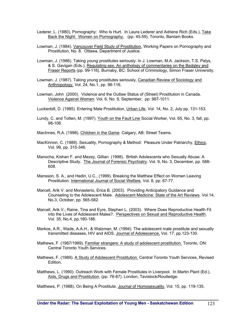- Lederer, L. (1980). Pornography: Who Is Hurt. In Laura Lederer and Adriene Rich (Eds.), Take Back the Night: Women on Pornography, (pp. 45-59). Toronto, Bantam Books.
- Lowman, J. (1984). Vancouver Field Study of Prostitution, Working Papers on Pornography and Prostitution, No. 8. Ottawa, Department of Justice.
- Lowman, J. (1986). Taking young prostitutes seriously. In J. Lowman, M.A. Jackson, T.S. Palys, & S. Gavigan (Eds.), Regulating sex: An anthology of commentaries on the Badgley and Fraser Reports (pp. 99-116). Burnaby, BC: School of Criminology, Simon Fraser University.
- Lowman, J. (1987). Taking young prostitutes seriously, Canadian Review of Sociology and Anthropology. Vol. 24, No.1, pp. 98-116.
- Lowman, John (2000). Violence and the Outlaw Status of (Street) Prostitution in Canada. Violence Against Women. Vol. 6, No. 9, September, pp: 987-1011.
- Luckenbill, D. (1985). Entering Male Prostitution, Urban Life, Vol. 14, No. 2, July pp. 131-153.
- Lundy, C. and Totten, M. (1997). Youth on the Fault Line Social Worker*,* Vol. 65, No. 3, fall, pp. 98-106.
- MacInnes, R.A. (1998). Children in the Game. Calgary, AB: Street Teams.
- MacKinnon, C. (1989). Sexuality, Pornography & Method: Pleasure Under Patriarchy, Ethics, Vol. 99, pp. 315-346.
- Manocha, Kishan F. and Mezey, Gillian (1998). British Adolescents who Sexually Abuse: A Descriptive Study. The Journal of Forensic Psychiatry. Vol. 9, No. 3, December, pp. 588- 608.
- Mansson, S. A., and Hedin, U.C., (1999). Breaking the Matthew Effect on Women Leaving Prostitution*.* International Journal of Social Welfare*,* Vol. 8, pp. 67-77.
- Marcell, Arik V. and Monasterio, Erica B. (2003). Providing Anticipatory Guidance and Counseling to the Adolescent Male. Adolescent Medicine: State of the Art Reviews. Vol.14, No.3, October, pp. 565-582.
- Marcell, Arik V.; Raine, Tina and Eyre, Stephen L. (2003). Where Does Reproductive Health Fit into the Lives of Adolescent Males?. Perspectives on Sexual and Reproductive Health. Vol. 35, No.4, pp.180-186.
- Markos, A.R., Wade, A.A.H., & Walzman, M. (1994). The adolescent male prostitute and sexually transmitted diseases, HIV and AIDS. Journal of Adolescence, Vol. 17, pp.123-130.
- Mathews, F. (1987/1989). Familiar strangers: A study of adolescent prostitution. Toronto, ON: Central Toronto Youth Services.
- Mathews, F. (1989). A Study of Adolescent Prostitution. Central Toronto Youth Services, Revised Edition.
- Matthews, L. (1990). Outreach Work with Female Prostitutes in Liverpool. In Martin Plant (Ed.), Aids, Drugs and Prostitution, (pp. 76-87). London, Tavistock/Routledge.
- Matthews, P. (1988). On Being A Prostitute. Journal of Homosexuality, Vol. 15, pp. 119-135.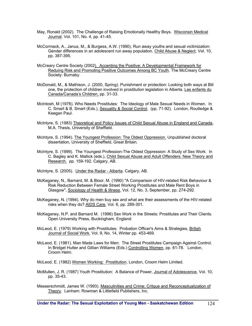- May, Ronald (2002). The Challenge of Raising Emotionally Healthy Boys. Wisconsin Medical Journal. Vol. 101, No. 4, pp. 41-45.
- McCormack, A., Janus, M., & Burgess, A.W. (1990). Run away youths and sexual victimization: Gender differences in an adolescent run away population. Child Abuse & Neglect, Vol. 10, pp. 387-395.
- McCreary Centre Society (2002). Accenting the Positive: A Developmental Framework for Reduing Risk and Promoting Positive Outcomes Among BC Youth. The McCreary Centre Society: Burnaby.
- McDonald, M., & Mathison, J. (2000, Spring). Punishment or protection: Looking both ways at Bill one, the protection of children involved in prostitution legislation in Alberta. Les enfants du Canada/Canada's Children, pp. 31-33.
- McIntosh, M (1976). Who Needs Prostitutes: The Ideology of Male Sexual Needs in Women. In C. Smart & B. Smart (Eds.), Sexuality & Social Control, (pp. 71-92). London, Routledge & Keegan Paul.
- McIntyre, S. (1983) Theoretical and Policy Issues of Child Sexual Abuse in England and Canada, M.A. Thesis, University of Sheffield.
- McIntyre, S. (1994). The Youngest Profession: The Oldest Oppression. Unpublished doctoral dissertation, University of Sheffield, Great Britain.
- McIntyre, S. (1999). The Youngest Profession-The Oldest Oppression: A Study of Sex Work. In C. Bagley and K. Mallick (eds.), Child Sexual Abuse and Adult Offenders: New Theory and Research. pp. 159-192. Calgary, AB.
- McIntyre, S. (2005). Under the Radar Alberta. Calgary, AB.
- McKeganey, N., Barnard, M. & Bloor, M. (1990) "A Comparison of HIV-related Risk Behaviour & Risk Reduction Between Female Street Working Prostitutes and Male Rent Boys in Glasgow", Sociology of Health & Illness, Vol. 12, No. 3, September, pp. 274-292.
- McKeganey, N. (1994). Why do men buy sex and what are their assessments of the HIV-related risks when they do? AIDS Care, Vol. 6, pp. 289-301.
- McKeganey, N.P. and Barnard M. (1996) Sex Work in the Streets: Prostitutes and Their Clients. Open University Press, Buckingham, England
- McLeod, E. (1979) Working with Prostitutes: Probation Officer's Aims & Strategies, British Journal of Social Work, Vol. 9, No. 14, Winter pp. 453-469.
- McLeod, E. (1981). Man Made Laws for Men: The Street Prostitutes Campaign Against Control. In Bridget Hutter and Gillian Williams (Eds.) Controlling Women, pp. 61-78. London, Croom Helm.

McLeod, E. (1982) Women Working: Prostitution, London, Croom Helm Limited.

- McMullen, J. R. (1987) Youth Prostitution: A Balance of Power, Journal of Adolescence, Vol. 10, pp. 35-43.
- Messerschmidt, James W. (1993). Masculinities and Crime: Critque and Reconceptualization of Theory. Lanham: Rowman & Littlefield Publishers, Inc.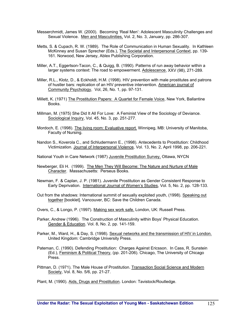- Messerchmidt, James W. (2000). Becoming 'Real Men': Adolescent Masculinity Challenges and Sexual Violence. Men and Masculinities, Vol. 2, No. 3, January, pp. 286-307.
- Metts, S. & Cupach, R. W. (1989). The Role of Communication in Human Sexuality. In Kathleen McKinney and Susan Sprecher (Eds.), The Societal and Interpersonal Context, pp. 139- 161. Norwood, New Jersey, Ablex Publishing Corporation.
- Miller, A.T., Eggertson-Tacon, C., & Quigg, B. (1990). Patterns of run away behavior within a larger systems context: The road to empowerment. Adolescence, XXV (98), 271-289.
- Miller, R.L., Klotz, D., & Eckholdt, H.M. (1998). HIV prevention with male prostitutes and patrons of hustler bars: replication of an HIV preventive intervention. American journal of Community Psychology, Vol, 26, No. 1, pp. 97-131.
- Millett, K. (1971) The Prostitution Papers: A Quartet for Female Voice, New York, Ballantine Books.
- Millman, M. (1975) She Did It All For Love: A Feminist View of the Sociology of Deviance. Sociological Inquiry, Vol. 45, No. 3, pp. 251-277.
- Mordoch, E. (1998). The living room: Evaluative report. Winnipeg, MB: University of Manitoba, Faculty of Nursing.
- Nandon S., Koverola C., and Schludermann E., (1998). Antecedents to Prostitution: Childhood Victimization. Journal of Interpersonal Violence*,* Vol. 13, No. 2, April 1998, pp. 206-221.

National Youth in Care Network (1987) Juvenile Prostitution Survey, Ottawa, NYCN

- Newberger, Eli H. (1999). The Men They Will Become: The Nature and Nurture of Male Character. Massachusetts: Perseus Books.
- Newman, F. & Caplan, J. P. (1981). Juvenile Prostitution as Gender Consistent Response to Early Deprivation. International Journal of Women's Studies, Vol. 5, No. 2, pp. 128-133.
- Out from the shadows: International summit of sexually exploited youth, (1998). Speaking out together [booklet]. Vancouver, BC: Save the Children Canada.
- Overs, C., & Longo, P. (1997). Making sex work safe. London, UK: Russell Press.
- Parker, Andrew (1996). The Construction of Masculinity within Boys' Physical Education. Gender & Education. Vol. 8, No. 2, pp. 141-159.
- Parker, M., Ward, H., & Day, S. (1998). Sexual networks and the transmission of HIV in London. United Kingdom: Cambridge University Press.
- Pateman, C. (1990). Defending Prostitution: Charges Against Ericsson. In Cass, R. Sunstein (Ed.), Feminism & Political Theory, (pp. 201-206). Chicago, The University of Chicago Press.
- Pittman, D. (1971). The Male House of Prostitution. Transaction Social Science and Modern Society, Vol. 8, No. 5/6, pp. 21-27.

Plant, M. (1990). Aids, Drugs and Prostitution. London: Tavistock/Routledge.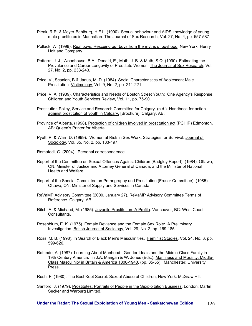- Pleak, R.R. & Meyer-Bahlburg, H.F.L. (1990). Sexual behaviour and AIDS knowledge of young male prostitutes in Manhattan. The Journal of Sex Research, Vol. 27, No. 4, pp. 557-587.
- Pollack, W. (1998). Real boys: Rescuing our boys from the myths of boyhood. New York: Henry Holt and Company.
- Potterat, J. J., Woodhouse, B.A., Donald, E., Muth, J. B. & Muth, S.Q. (1990). Estimating the Prevalence and Career Longevity of Prostitute Women. The Journal of Sex Research, Vol. 27, No. 2, pp. 233-243.
- Price, V., Scanlon, B & Janus, M. D. (1984). Social Characteristics of Adolescent Male Prostitution. Victimology, Vol. 9, No. 2, pp. 211-221.
- Price, V. A. (1989). Characteristics and Needs of Boston Street Youth: One Agency's Response. Children and Youth Services Review, Vol. 11, pp. 75-90.
- Prostitution Policy, Service and Research Committee for Calgary. (n.d.). Handbook for action against prostitution of youth in Calgary. [Brochure]. Calgary, AB.
- Province of Alberta. (1998). Protection of children involved in prostitution act (PCHIP) Edmonton, AB: Queen's Printer for Alberta.
- Pyett, P. & Warr, D. (1999). Women at Risk in Sex Work: Strategies for Survival. Journal of Sociology, Vol. 35, No. 2, pp. 183-197.
- Remafedi, G. (2004). Personal correspondence.
- Report of the Committee on Sexual Offences Against Children (Badgley Report). (1984). Ottawa, ON: Minister of Justice and Attorney General of Canada; and the Minister of National Health and Welfare.
- Report of the Special Committee on Pornography and Prostitution (Fraser Committee). (1985). Ottawa, ON: Minister of Supply and Services in Canada.
- ReVaMP Advisory Committee (2000, January 27). ReVaMP Advisory Committee Terms of Reference. Calgary, AB.
- Ritch, A. & Michaud, M. (1985). Juvenile Prostitution: A Profile. Vancouver, BC: West Coast Consultants.
- Rosenblum, E. K. (1975). Female Deviance and the Female Sex Role: A Preliminary Investigation. British Journal of Sociology, Vol. 29, No. 2, pp. 169-185.
- Ross, M. B. (1998). In Search of Black Men's Masculinities. Feminist Studies, Vol. 24, No. 3, pp. 599-626.
- Rotundo, A. (1987). Learning About Manhood: Gender Ideals and the Middle-Class Family in 19th Century America. In J.A. Mangan & W. Jones (Eds.), Manliness and Morality: Middle-Class Masculinity in Britain & America 1800-1940, (pp. 35-55). Manchester: University Press.
- Rush, F. (1980). The Best Kept Secret: Sexual Abuse of Children, New York: McGraw Hill.
- Sanford, J. (1979). Prostitutes: Portraits of People in the Sexploitation Business. London: Martin Secker and Warburg Limited.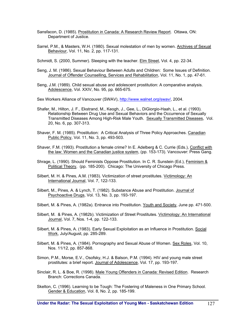- Sansfacon, D. (1985). Prostitution in Canada: A Research Review Report. Ottawa, ON: Department of Justice.
- Sarrel, P.M., & Masters, W.H. (1980). Sexual molestation of men by women. Archives of Sexual Behaviour, Vol. 11, No. 2, pp. 117-131.
- Schmidt, S. (2000, Summer). Sleeping with the teacher. Elm Street, Vol. 4, pp. 22-34.
- Seng, J. M. (1986). Sexual Behaviour Between Adults and Children: Some Issues of Definition. Journal of Offender Counselling, Services and Rehabilitation, Vol. 11, No. 1, pp. 47-61.
- Seng, J.M. (1989). Child sexual abuse and adolescent prostitution: A comparative analysis. Adolescence, Vol. XXIV, No. 95, pp. 665-675.

Sex Workers Alliance of Vancouver (SWAV), http://www.walnet.org/swav/, 2004.

- Shafer, M., Hilton, J. F., Ekstrand, M., Keogh, J., Gee, L., DiGiorgio-Haah, L., et al. (1993). Relationship Between Drug Use and Sexual Behaviors and the Occurrence of Sexually Transmitted Diseases Among High-Risk Male Youth. Sexually Transmitted Diseases, Vol. 20, No. 6, pp. 307-313.
- Shaver, F. M. (1985). Prostitution: A Critical Analysis of Three Policy Approaches. Canadian Public Policy, Vol. 11, No. 3, pp. 493-503.
- Shaver, F.M. (1993). Prostitution a female crime? In E. Adelberg & C. Currie (Eds.), Conflict with the law: Women and the Canadian justice system, (pp. 153-173). Vancouver: Press Gang.
- Shrage, L. (1990). Should Feminists Oppose Prostitution. In C. R. Sunstein (Ed.), Feminism & Political Theory, (pp. 185-200). Chicago: The University of Chicago Press.
- Silbert, M. H. & Pines, A.M. (1983). Victimization of street prostitutes. Victimology: An International Journal, Vol. 7, 122-133.
- Silbert, M., Pines, A. & Lynch, T. (1982). Substance Abuse and Prostitution. Journal of Psychoactive Drugs, Vol. 13, No. 3, pp. 193-197.
- Silbert, M. & Pines, A. (1982a). Entrance into Prostitution. Youth and Society, June pp. 471-500.
- Silbert, M. & Pines, A. (1982b). Victimization of Street Prostitutes. Victimology: An International Journal, Vol. 7, Nos. 1-4, pp. 122-133.
- Silbert, M. & Pines, A. (1983). Early Sexual Exploitation as an Influence in Prostitution. Social Work, July/August, pp. 285-289.
- Silbert, M. & Pines, A. (1984). Pornography and Sexual Abuse of Women. Sex Roles, Vol. 10, Nos. 11/12, pp. 857-868.
- Simon, P.M., Morse, E.V., Osofsky, H.J. & Balson, P.M. (1994). HIV and young male street prostitutes: a brief report. Journal of Adolescence, Vol. 17, pp. 193-197.
- Sinclair, R. L. & Boe, R. (1998). Male Young Offenders in Canada: Revised Edition. Research Branch: Corrections Canada.
- Skelton, C. (1996). Learning to be Tough: The Fostering of Maleness in One Primary School. Gender & Education, Vol. 8, No. 2, pp. 185-199.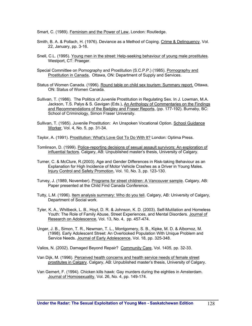Smart, C. (1989). Feminism and the Power of Law, London: Routledge.

- Smith, B. A. & Pollach, H. (1976). Deviance as a Method of Coping. Crime & Delinquency, Vol. 22, January, pp. 3-16.
- Snell, C.L. (1995). Young men in the street: Help-seeking behaviour of voung male prostitutes. Westport, CT: Praeger.
- Special Committee on Pornography and Prostitution (S.C.P.P.) (1985). Pornography and Prostitution in Canada, Ottawa, ON: Department of Supply and Services.
- Status of Women Canada. (1996). Round table on child sex tourism: Summary report. Ottawa, ON: Status of Women Canada.
- Sullivan, T. (1986). The Politics of Juvenile Prostitution in Regulating Sex. In J. Lowman, M.A. Jackson, T.S. Palys & S. Gavigan (Eds.), An Anthology of Commentaries on the Findings and Recommendations of the Badgley and Fraser Reports, (pp. 177-192). Burnaby, BC: School of Criminology, Simon Fraser University.
- Sullivan, T. (1985). Juvenile Prostitution: An Unspoken Vocational Option. School Guidance Worker, Vol. 4, No. 5, pp. 31-34.
- Taylor, A. (1991). Prostitution: What's Love Got To Do With It? London: Optima Press.
- Tomlinson, D. (1999). Police-reporting decisions of sexual assault survivors: An exploration of influential factors. Calgary, AB: Unpublished master's thesis, University of Calgary.
- Turner, C. & McClure, R.(2003). Age and Gender Differences in Risk-taking Behaviour as an Explanation for High Incidence of Motor Vehicle Crashes as a Driver in Young Males. Injury Control and Safety Promotion, Vol. 10, No. 3, pp. 123-130.
- Turvey, J. (1989, November). Programs for street children: A Vancouver sample. Calgary, AB: Paper presented at the Child Find Canada Conference.
- Tutty, L.M. (1996). Item analysis summary: Who do you tell. Calgary, AB: University of Calgary, Department of Social work.
- Tyler, K. A., Whitbeck, L. B., Hoyt, D. R. & Johnson, K. D. (2003). Self-Mutilation and Homeless Youth: The Role of Family Abuse, Street Experiences, and Mental Disorders. Journal of Research on Adolescence, Vol. 13, No. 4, pp. 457-474.
- Unger, J. B., Simon, T. R., Newman, T. L., Montgomery, S. B., Kipke, M. D. & Albornoz, M. (1998). Early Adolescent Street: An Overlooked Population With Unique Problem and Service Needs. Journal of Early Adolescence, Vol. 18, pp. 325-348.
- Valios, N. (2002). Damaged Beyond Repair? Community Care, Vol. 1405, pp. 32-33.
- Van Dijk, M. (1996). Perceived health concerns and health service needs of female street prostitutes in Calgary. Calgary, AB: Unpublished master's thesis, University of Calgary.
- Van Gemert, F. (1994). Chicken kills hawk: Gay murders during the eighties in Amsterdam. Journal of Homosexuality, Vol. 26, No. 4, pp. 149-174.